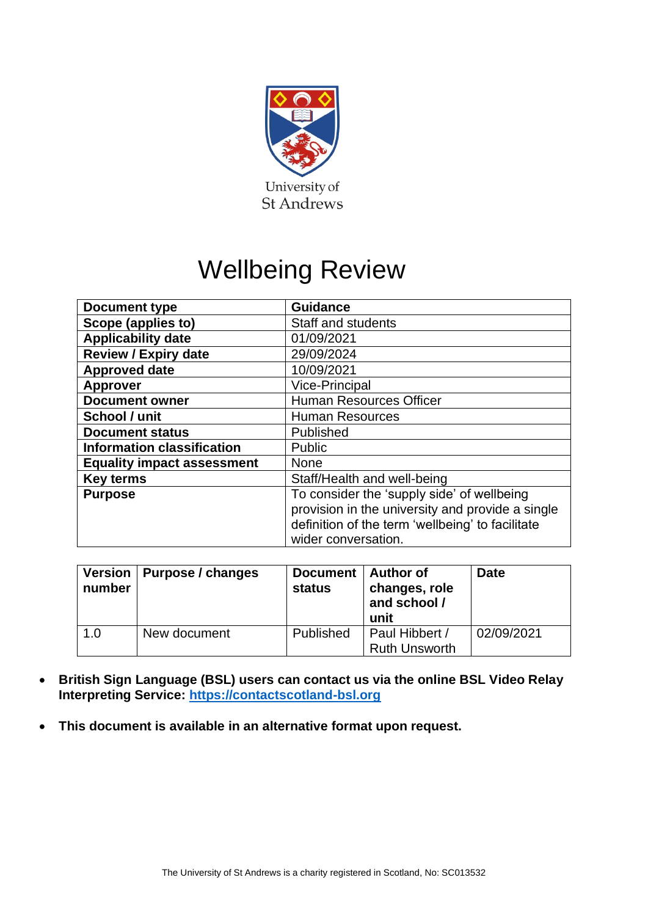

# Wellbeing Review

| Document type                     | <b>Guidance</b>                                                                                                                                                           |
|-----------------------------------|---------------------------------------------------------------------------------------------------------------------------------------------------------------------------|
| Scope (applies to)                | Staff and students                                                                                                                                                        |
| <b>Applicability date</b>         | 01/09/2021                                                                                                                                                                |
| <b>Review / Expiry date</b>       | 29/09/2024                                                                                                                                                                |
| <b>Approved date</b>              | 10/09/2021                                                                                                                                                                |
| <b>Approver</b>                   | <b>Vice-Principal</b>                                                                                                                                                     |
| <b>Document owner</b>             | <b>Human Resources Officer</b>                                                                                                                                            |
| School / unit                     | <b>Human Resources</b>                                                                                                                                                    |
| <b>Document status</b>            | Published                                                                                                                                                                 |
| <b>Information classification</b> | Public                                                                                                                                                                    |
| <b>Equality impact assessment</b> | <b>None</b>                                                                                                                                                               |
| <b>Key terms</b>                  | Staff/Health and well-being                                                                                                                                               |
| <b>Purpose</b>                    | To consider the 'supply side' of wellbeing<br>provision in the university and provide a single<br>definition of the term 'wellbeing' to facilitate<br>wider conversation. |

| <b>Version</b><br>number | Purpose / changes | Document   Author of<br><b>status</b> | changes, role<br>and school /<br>unit  | <b>Date</b> |
|--------------------------|-------------------|---------------------------------------|----------------------------------------|-------------|
| 1.0                      | New document      | Published                             | Paul Hibbert /<br><b>Ruth Unsworth</b> | 02/09/2021  |

- **British Sign Language (BSL) users can contact us via the online BSL Video Relay Interpreting Service: [https://contactscotland-bsl.org](https://contactscotland-bsl.org/)**
- **This document is available in an alternative format upon request.**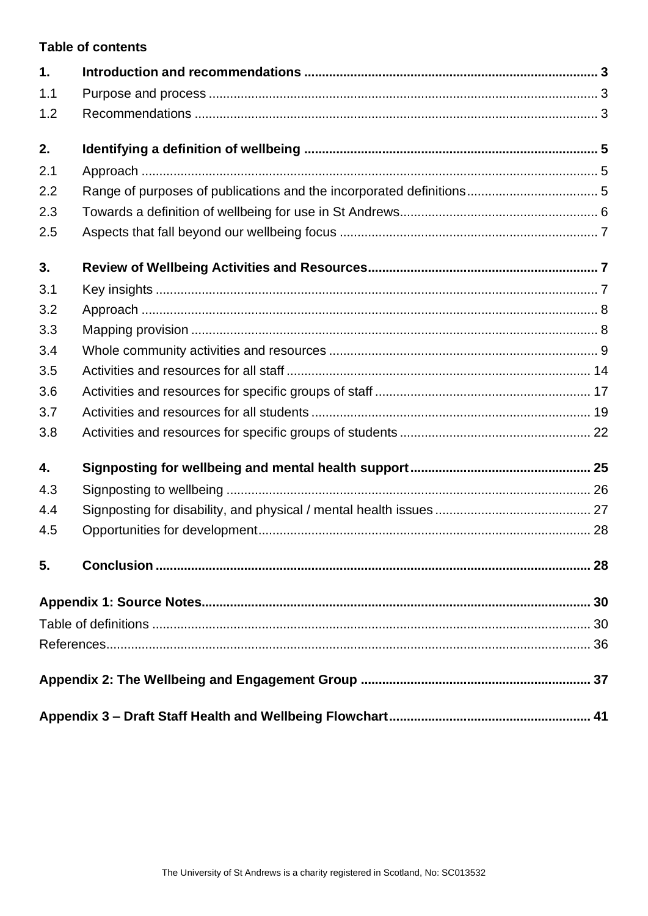## **Table of contents**

| 1.  |  |
|-----|--|
| 1.1 |  |
| 1.2 |  |
| 2.  |  |
| 2.1 |  |
| 2.2 |  |
| 2.3 |  |
| 2.5 |  |
| 3.  |  |
| 3.1 |  |
| 3.2 |  |
| 3.3 |  |
| 3.4 |  |
| 3.5 |  |
| 3.6 |  |
| 3.7 |  |
| 3.8 |  |
| 4.  |  |
| 4.3 |  |
| 4.4 |  |
| 4.5 |  |
| 5.  |  |
|     |  |
|     |  |
|     |  |
|     |  |
|     |  |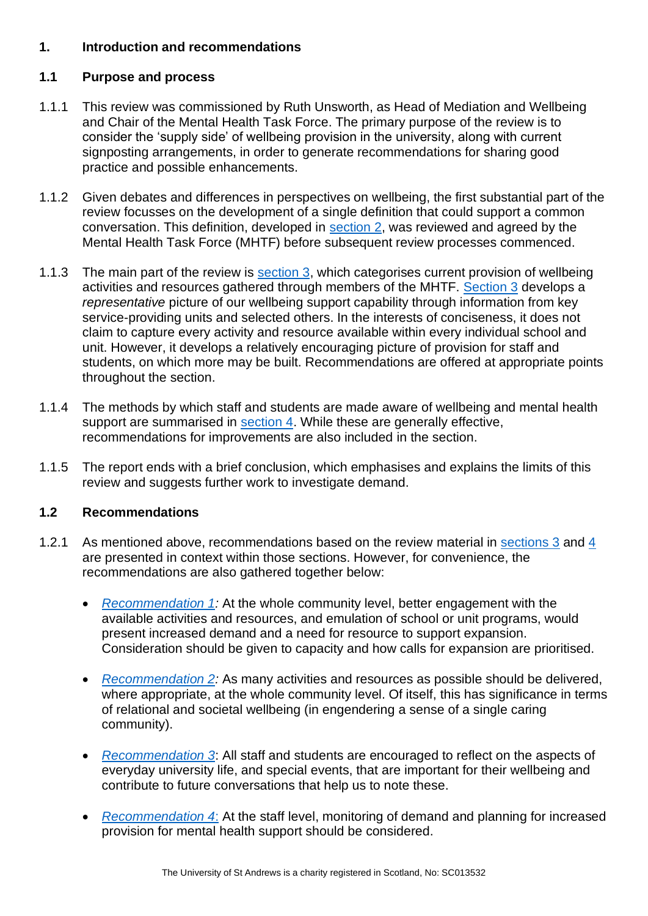## <span id="page-2-0"></span>**1. Introduction and recommendations**

## <span id="page-2-1"></span>**1.1 Purpose and process**

- 1.1.1 This review was commissioned by Ruth Unsworth, as Head of Mediation and Wellbeing and Chair of the Mental Health Task Force. The primary purpose of the review is to consider the 'supply side' of wellbeing provision in the university, along with current signposting arrangements, in order to generate recommendations for sharing good practice and possible enhancements.
- 1.1.2 Given debates and differences in perspectives on wellbeing, the first substantial part of the review focusses on the development of a single definition that could support a common conversation. This definition, developed in [section 2,](#page-4-0) was reviewed and agreed by the Mental Health Task Force (MHTF) before subsequent review processes commenced.
- 1.1.3 The main part of the review is [section 3,](#page-6-1) which categorises current provision of wellbeing activities and resources gathered through members of the MHTF. [Section 3](#page-6-1) develops a *representative* picture of our wellbeing support capability through information from key service-providing units and selected others. In the interests of conciseness, it does not claim to capture every activity and resource available within every individual school and unit. However, it develops a relatively encouraging picture of provision for staff and students, on which more may be built. Recommendations are offered at appropriate points throughout the section.
- 1.1.4 The methods by which staff and students are made aware of wellbeing and mental health support are summarised in [section 4.](#page-24-0) While these are generally effective, recommendations for improvements are also included in the section.
- 1.1.5 The report ends with a brief conclusion, which emphasises and explains the limits of this review and suggests further work to investigate demand.

## <span id="page-2-2"></span>**1.2 Recommendations**

- 1.2.1 As mentioned above, recommendations based on the review material in [sections 3](#page-6-1) and [4](#page-24-0) are presented in context within those sections. However, for convenience, the recommendations are also gathered together below:
	- *[Recommendation 1:](#page-9-0)* At the whole community level, better engagement with the available activities and resources, and emulation of school or unit programs, would present increased demand and a need for resource to support expansion. Consideration should be given to capacity and how calls for expansion are prioritised.
	- *[Recommendation 2:](#page-9-1)* As many activities and resources as possible should be delivered, where appropriate, at the whole community level. Of itself, this has significance in terms of relational and societal wellbeing (in engendering a sense of a single caring community).
	- *[Recommendation 3](#page-9-2)*: All staff and students are encouraged to reflect on the aspects of everyday university life, and special events, that are important for their wellbeing and contribute to future conversations that help us to note these.
	- *[Recommendation 4](#page-14-0)*: At the staff level, monitoring of demand and planning for increased provision for mental health support should be considered.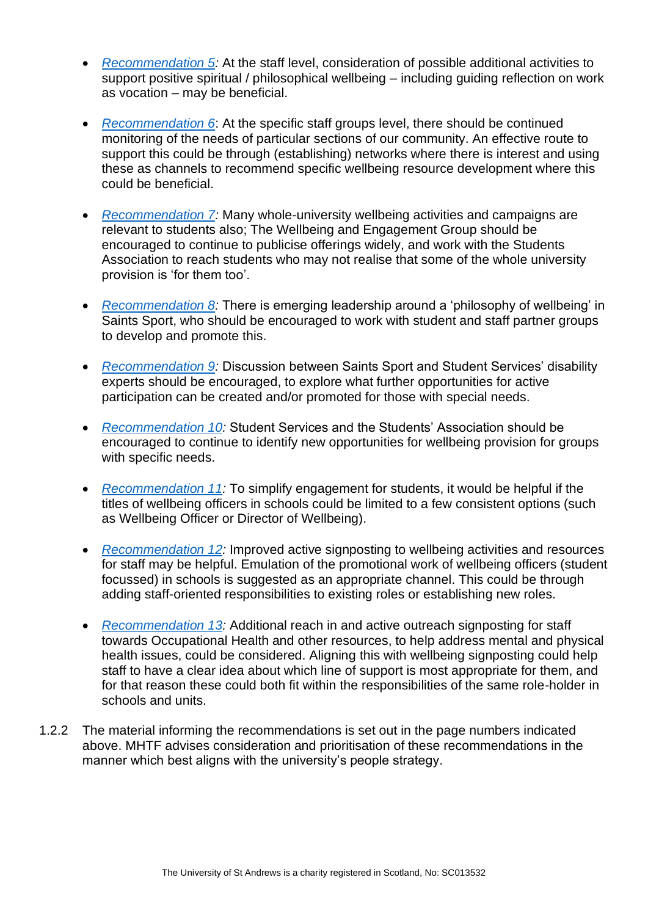- *[Recommendation 5:](#page-14-1)* At the staff level, consideration of possible additional activities to support positive spiritual / philosophical wellbeing – including guiding reflection on work as vocation – may be beneficial.
- *[Recommendation 6](#page-16-1)*: At the specific staff groups level, there should be continued monitoring of the needs of particular sections of our community. An effective route to support this could be through (establishing) networks where there is interest and using these as channels to recommend specific wellbeing resource development where this could be beneficial.
- *[Recommendation 7:](#page-19-0)* Many whole-university wellbeing activities and campaigns are relevant to students also; The Wellbeing and Engagement Group should be encouraged to continue to publicise offerings widely, and work with the Students Association to reach students who may not realise that some of the whole university provision is 'for them too'.
- *[Recommendation 8:](#page-19-1)* There is emerging leadership around a 'philosophy of wellbeing' in Saints Sport, who should be encouraged to work with student and staff partner groups to develop and promote this.
- *[Recommendation 9:](#page-22-0)* Discussion between Saints Sport and Student Services' disability experts should be encouraged, to explore what further opportunities for active participation can be created and/or promoted for those with special needs.
- *[Recommendation 10:](#page-22-1)* Student Services and the Students' Association should be encouraged to continue to identify new opportunities for wellbeing provision for groups with specific needs.
- *[Recommendation 11:](#page-26-1)* To simplify engagement for students, it would be helpful if the titles of wellbeing officers in schools could be limited to a few consistent options (such as Wellbeing Officer or Director of Wellbeing).
- *[Recommendation 12:](#page-26-2)* Improved active signposting to wellbeing activities and resources for staff may be helpful. Emulation of the promotional work of wellbeing officers (student focussed) in schools is suggested as an appropriate channel. This could be through adding staff-oriented responsibilities to existing roles or establishing new roles.
- *[Recommendation 13:](#page-27-2)* Additional reach in and active outreach signposting for staff towards Occupational Health and other resources, to help address mental and physical health issues, could be considered. Aligning this with wellbeing signposting could help staff to have a clear idea about which line of support is most appropriate for them, and for that reason these could both fit within the responsibilities of the same role-holder in schools and units.
- 1.2.2 The material informing the recommendations is set out in the page numbers indicated above. MHTF advises consideration and prioritisation of these recommendations in the manner which best aligns with the university's people strategy.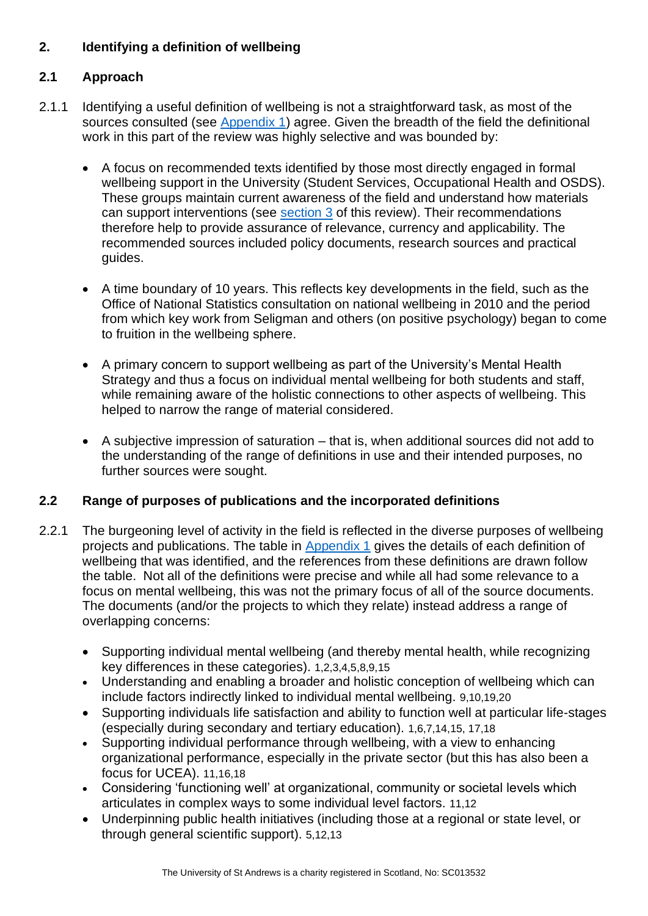# <span id="page-4-0"></span>**2. Identifying a definition of wellbeing**

# <span id="page-4-1"></span>**2.1 Approach**

- 2.1.1 Identifying a useful definition of wellbeing is not a straightforward task, as most of the sources consulted (see [Appendix 1\)](#page-28-0) agree. Given the breadth of the field the definitional work in this part of the review was highly selective and was bounded by:
	- A focus on recommended texts identified by those most directly engaged in formal wellbeing support in the University (Student Services, Occupational Health and OSDS). These groups maintain current awareness of the field and understand how materials can support interventions (see [section 3](#page-6-1) of this review). Their recommendations therefore help to provide assurance of relevance, currency and applicability. The recommended sources included policy documents, research sources and practical guides.
	- A time boundary of 10 years. This reflects key developments in the field, such as the Office of National Statistics consultation on national wellbeing in 2010 and the period from which key work from Seligman and others (on positive psychology) began to come to fruition in the wellbeing sphere.
	- A primary concern to support wellbeing as part of the University's Mental Health Strategy and thus a focus on individual mental wellbeing for both students and staff, while remaining aware of the holistic connections to other aspects of wellbeing. This helped to narrow the range of material considered.
	- A subjective impression of saturation that is, when additional sources did not add to the understanding of the range of definitions in use and their intended purposes, no further sources were sought.

## <span id="page-4-2"></span>**2.2 Range of purposes of publications and the incorporated definitions**

- 2.2.1 The burgeoning level of activity in the field is reflected in the diverse purposes of wellbeing projects and publications. The table in [Appendix 1](#page-29-0) gives the details of each definition of wellbeing that was identified, and the references from these definitions are drawn follow the table. Not all of the definitions were precise and while all had some relevance to a focus on mental wellbeing, this was not the primary focus of all of the source documents. The documents (and/or the projects to which they relate) instead address a range of overlapping concerns:
	- Supporting individual mental wellbeing (and thereby mental health, while recognizing key differences in these categories). 1,2,3,4,5,8,9,15
	- Understanding and enabling a broader and holistic conception of wellbeing which can include factors indirectly linked to individual mental wellbeing. 9,10,19,20
	- Supporting individuals life satisfaction and ability to function well at particular life-stages (especially during secondary and tertiary education). 1,6,7,14,15, 17,18
	- Supporting individual performance through wellbeing, with a view to enhancing organizational performance, especially in the private sector (but this has also been a focus for UCEA). 11,16,18
	- Considering 'functioning well' at organizational, community or societal levels which articulates in complex ways to some individual level factors. 11,12
	- Underpinning public health initiatives (including those at a regional or state level, or through general scientific support). 5,12,13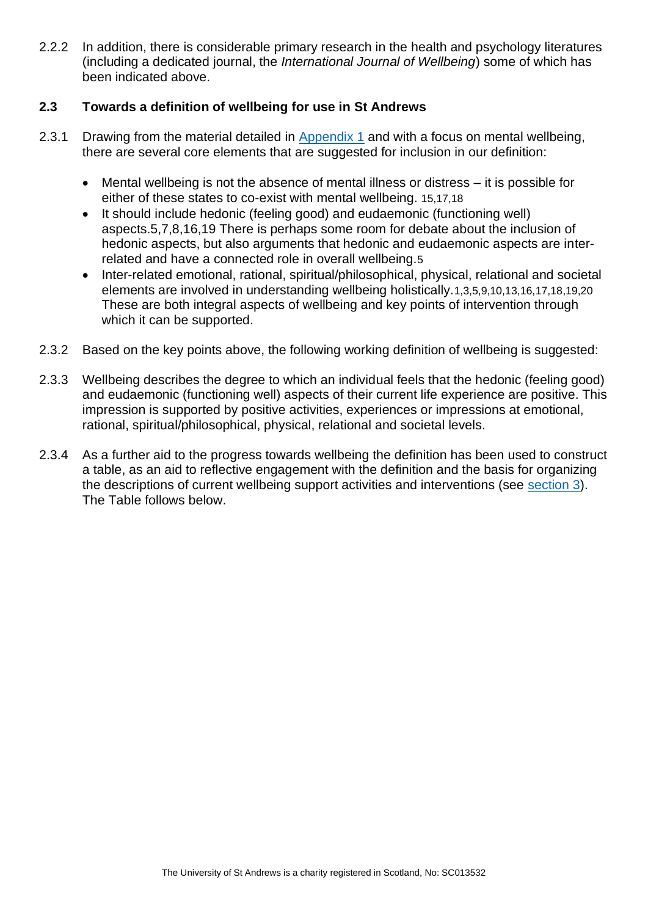2.2.2 In addition, there is considerable primary research in the health and psychology literatures (including a dedicated journal, the *International Journal of Wellbeing*) some of which has been indicated above.

## <span id="page-5-0"></span>**2.3 Towards a definition of wellbeing for use in St Andrews**

- 2.3.1 Drawing from the material detailed in [Appendix 1](#page-28-0) and with a focus on mental wellbeing, there are several core elements that are suggested for inclusion in our definition:
	- Mental wellbeing is not the absence of mental illness or distress it is possible for either of these states to co-exist with mental wellbeing. 15,17,18
	- It should include hedonic (feeling good) and eudaemonic (functioning well) aspects.5,7,8,16,19 There is perhaps some room for debate about the inclusion of hedonic aspects, but also arguments that hedonic and eudaemonic aspects are interrelated and have a connected role in overall wellbeing.5
	- Inter-related emotional, rational, spiritual/philosophical, physical, relational and societal elements are involved in understanding wellbeing holistically.1,3,5,9,10,13,16,17,18,19,20 These are both integral aspects of wellbeing and key points of intervention through which it can be supported.
- 2.3.2 Based on the key points above, the following working definition of wellbeing is suggested:
- 2.3.3 Wellbeing describes the degree to which an individual feels that the hedonic (feeling good) and eudaemonic (functioning well) aspects of their current life experience are positive. This impression is supported by positive activities, experiences or impressions at emotional, rational, spiritual/philosophical, physical, relational and societal levels.
- 2.3.4 As a further aid to the progress towards wellbeing the definition has been used to construct a table, as an aid to reflective engagement with the definition and the basis for organizing the descriptions of current wellbeing support activities and interventions (see [section 3\)](#page-6-1). The Table follows below.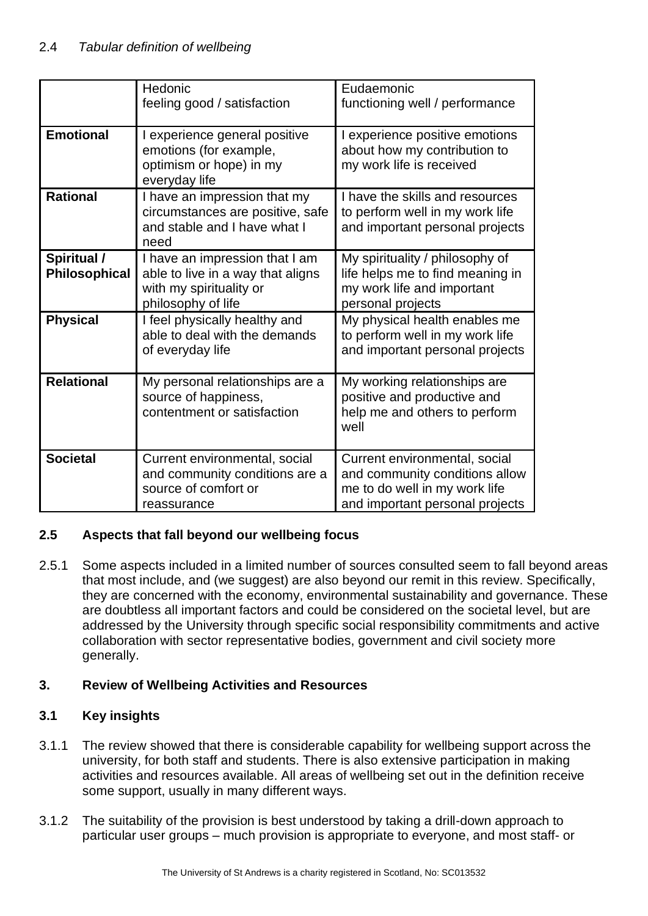|                              | Hedonic<br>feeling good / satisfaction                                                                               | Eudaemonic<br>functioning well / performance                                                                                        |
|------------------------------|----------------------------------------------------------------------------------------------------------------------|-------------------------------------------------------------------------------------------------------------------------------------|
| <b>Emotional</b>             | I experience general positive<br>emotions (for example,<br>optimism or hope) in my<br>everyday life                  | experience positive emotions<br>about how my contribution to<br>my work life is received                                            |
| <b>Rational</b>              | I have an impression that my<br>circumstances are positive, safe<br>and stable and I have what I<br>need             | I have the skills and resources<br>to perform well in my work life<br>and important personal projects                               |
| Spiritual /<br>Philosophical | I have an impression that I am<br>able to live in a way that aligns<br>with my spirituality or<br>philosophy of life | My spirituality / philosophy of<br>life helps me to find meaning in<br>my work life and important<br>personal projects              |
| <b>Physical</b>              | I feel physically healthy and<br>able to deal with the demands<br>of everyday life                                   | My physical health enables me<br>to perform well in my work life<br>and important personal projects                                 |
| <b>Relational</b>            | My personal relationships are a<br>source of happiness,<br>contentment or satisfaction                               | My working relationships are<br>positive and productive and<br>help me and others to perform<br>well                                |
| <b>Societal</b>              | Current environmental, social<br>and community conditions are a<br>source of comfort or<br>reassurance               | Current environmental, social<br>and community conditions allow<br>me to do well in my work life<br>and important personal projects |

## <span id="page-6-0"></span>**2.5 Aspects that fall beyond our wellbeing focus**

2.5.1 Some aspects included in a limited number of sources consulted seem to fall beyond areas that most include, and (we suggest) are also beyond our remit in this review. Specifically, they are concerned with the economy, environmental sustainability and governance. These are doubtless all important factors and could be considered on the societal level, but are addressed by the University through specific social responsibility commitments and active collaboration with sector representative bodies, government and civil society more generally.

## <span id="page-6-1"></span>**3. Review of Wellbeing Activities and Resources**

## <span id="page-6-2"></span>**3.1 Key insights**

- 3.1.1 The review showed that there is considerable capability for wellbeing support across the university, for both staff and students. There is also extensive participation in making activities and resources available. All areas of wellbeing set out in the definition receive some support, usually in many different ways.
- 3.1.2 The suitability of the provision is best understood by taking a drill-down approach to particular user groups – much provision is appropriate to everyone, and most staff- or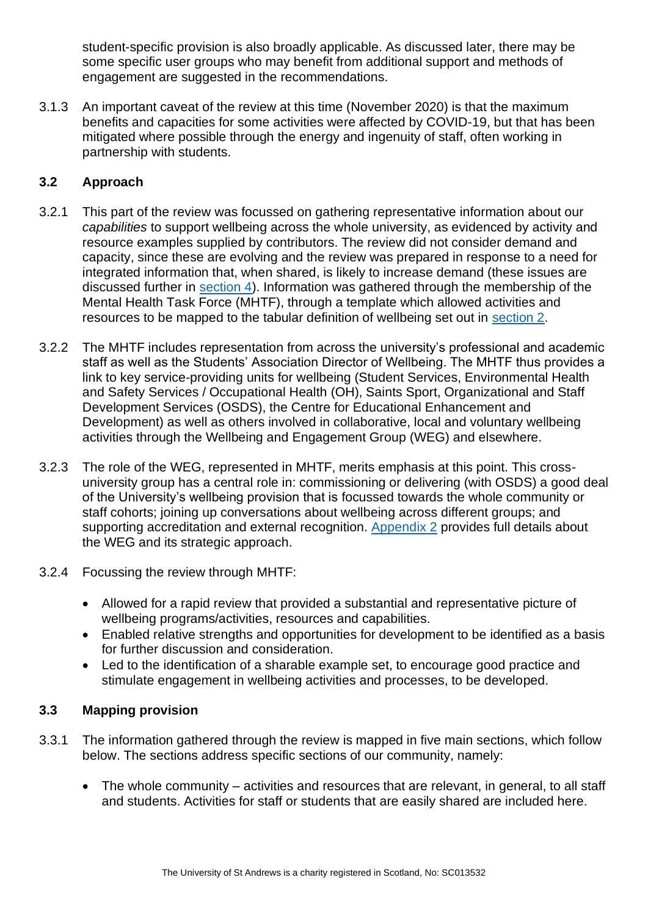student-specific provision is also broadly applicable. As discussed later, there may be some specific user groups who may benefit from additional support and methods of engagement are suggested in the recommendations.

3.1.3 An important caveat of the review at this time (November 2020) is that the maximum benefits and capacities for some activities were affected by COVID-19, but that has been mitigated where possible through the energy and ingenuity of staff, often working in partnership with students.

# <span id="page-7-0"></span>**3.2 Approach**

- 3.2.1 This part of the review was focussed on gathering representative information about our *capabilities* to support wellbeing across the whole university, as evidenced by activity and resource examples supplied by contributors. The review did not consider demand and capacity, since these are evolving and the review was prepared in response to a need for integrated information that, when shared, is likely to increase demand (these issues are discussed further in [section 4\)](#page-24-0). Information was gathered through the membership of the Mental Health Task Force (MHTF), through a template which allowed activities and resources to be mapped to the tabular definition of wellbeing set out in [section 2.](#page-4-0)
- 3.2.2 The MHTF includes representation from across the university's professional and academic staff as well as the Students' Association Director of Wellbeing. The MHTF thus provides a link to key service-providing units for wellbeing (Student Services, Environmental Health and Safety Services / Occupational Health (OH), Saints Sport, Organizational and Staff Development Services (OSDS), the Centre for Educational Enhancement and Development) as well as others involved in collaborative, local and voluntary wellbeing activities through the Wellbeing and Engagement Group (WEG) and elsewhere.
- 3.2.3 The role of the WEG, represented in MHTF, merits emphasis at this point. This crossuniversity group has a central role in: commissioning or delivering (with OSDS) a good deal of the University's wellbeing provision that is focussed towards the whole community or staff cohorts; joining up conversations about wellbeing across different groups; and supporting accreditation and external recognition. [Appendix 2](#page-36-0) provides full details about the WEG and its strategic approach.
- 3.2.4 Focussing the review through MHTF:
	- Allowed for a rapid review that provided a substantial and representative picture of wellbeing programs/activities, resources and capabilities.
	- Enabled relative strengths and opportunities for development to be identified as a basis for further discussion and consideration.
	- Led to the identification of a sharable example set, to encourage good practice and stimulate engagement in wellbeing activities and processes, to be developed.

## <span id="page-7-1"></span>**3.3 Mapping provision**

- 3.3.1 The information gathered through the review is mapped in five main sections, which follow below. The sections address specific sections of our community, namely:
	- The whole community activities and resources that are relevant, in general, to all staff and students. Activities for staff or students that are easily shared are included here.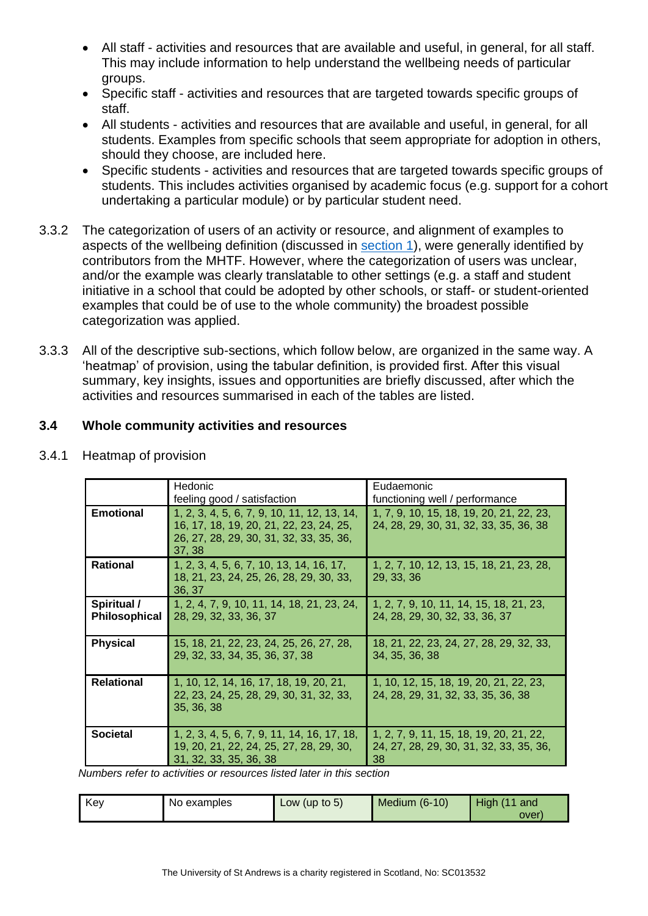- All staff activities and resources that are available and useful, in general, for all staff. This may include information to help understand the wellbeing needs of particular groups.
- Specific staff activities and resources that are targeted towards specific groups of staff.
- All students activities and resources that are available and useful, in general, for all students. Examples from specific schools that seem appropriate for adoption in others, should they choose, are included here.
- Specific students activities and resources that are targeted towards specific groups of students. This includes activities organised by academic focus (e.g. support for a cohort undertaking a particular module) or by particular student need.
- 3.3.2 The categorization of users of an activity or resource, and alignment of examples to aspects of the wellbeing definition (discussed in [section 1\)](#page-2-0), were generally identified by contributors from the MHTF. However, where the categorization of users was unclear, and/or the example was clearly translatable to other settings (e.g. a staff and student initiative in a school that could be adopted by other schools, or staff- or student-oriented examples that could be of use to the whole community) the broadest possible categorization was applied.
- 3.3.3 All of the descriptive sub-sections, which follow below, are organized in the same way. A 'heatmap' of provision, using the tabular definition, is provided first. After this visual summary, key insights, issues and opportunities are briefly discussed, after which the activities and resources summarised in each of the tables are listed.

## <span id="page-8-0"></span>**3.4 Whole community activities and resources**

|                              | Hedonic                                                                                                                                     | Eudaemonic                                                                               |
|------------------------------|---------------------------------------------------------------------------------------------------------------------------------------------|------------------------------------------------------------------------------------------|
|                              | feeling good / satisfaction                                                                                                                 | functioning well / performance                                                           |
| <b>Emotional</b>             | 1, 2, 3, 4, 5, 6, 7, 9, 10, 11, 12, 13, 14,<br>16, 17, 18, 19, 20, 21, 22, 23, 24, 25,<br>26, 27, 28, 29, 30, 31, 32, 33, 35, 36,<br>37, 38 | 1, 7, 9, 10, 15, 18, 19, 20, 21, 22, 23,<br>24, 28, 29, 30, 31, 32, 33, 35, 36, 38       |
| <b>Rational</b>              | 1, 2, 3, 4, 5, 6, 7, 10, 13, 14, 16, 17,<br>18, 21, 23, 24, 25, 26, 28, 29, 30, 33,<br>36, 37                                               | 1, 2, 7, 10, 12, 13, 15, 18, 21, 23, 28,<br>29, 33, 36                                   |
| Spiritual /<br>Philosophical | 1, 2, 4, 7, 9, 10, 11, 14, 18, 21, 23, 24,<br>28, 29, 32, 33, 36, 37                                                                        | 1, 2, 7, 9, 10, 11, 14, 15, 18, 21, 23,<br>24, 28, 29, 30, 32, 33, 36, 37                |
| <b>Physical</b>              | 15, 18, 21, 22, 23, 24, 25, 26, 27, 28,<br>29, 32, 33, 34, 35, 36, 37, 38                                                                   | 18, 21, 22, 23, 24, 27, 28, 29, 32, 33,<br>34, 35, 36, 38                                |
| <b>Relational</b>            | 1, 10, 12, 14, 16, 17, 18, 19, 20, 21,<br>22, 23, 24, 25, 28, 29, 30, 31, 32, 33,<br>35, 36, 38                                             | 1, 10, 12, 15, 18, 19, 20, 21, 22, 23,<br>24, 28, 29, 31, 32, 33, 35, 36, 38             |
| <b>Societal</b>              | 1, 2, 3, 4, 5, 6, 7, 9, 11, 14, 16, 17, 18,<br>19, 20, 21, 22, 24, 25, 27, 28, 29, 30,<br>31, 32, 33, 35, 36, 38                            | 1, 2, 7, 9, 11, 15, 18, 19, 20, 21, 22,<br>24, 27, 28, 29, 30, 31, 32, 33, 35, 36,<br>38 |

#### 3.4.1 Heatmap of provision

*Numbers refer to activities or resources listed later in this section*

| Kev | No examples | Low (up to $5$ ) | Medium $(6-10)$ | $H$ igh (11 and |
|-----|-------------|------------------|-----------------|-----------------|
|     |             |                  |                 | over            |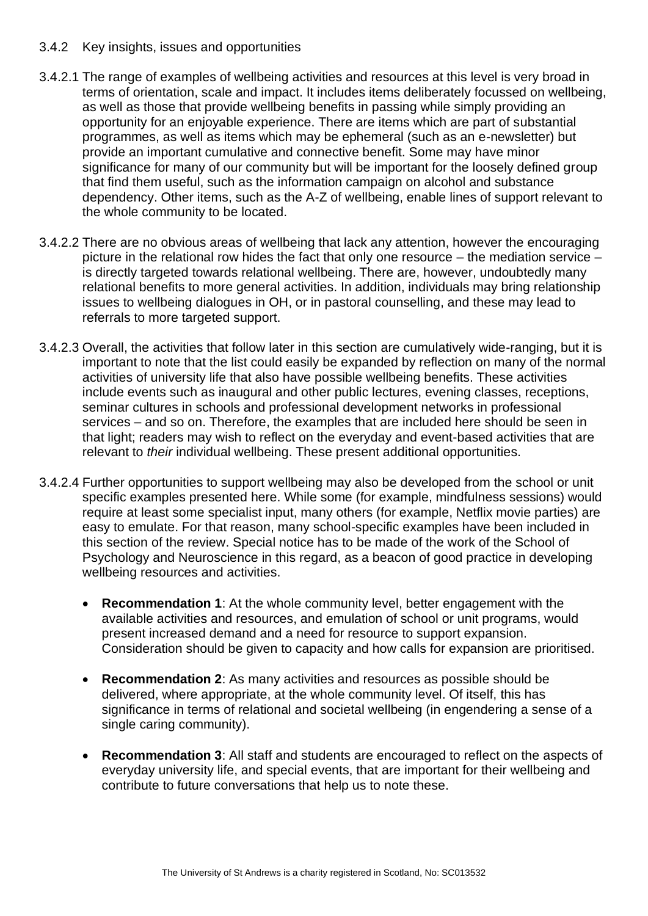#### 3.4.2 Key insights, issues and opportunities

- 3.4.2.1 The range of examples of wellbeing activities and resources at this level is very broad in terms of orientation, scale and impact. It includes items deliberately focussed on wellbeing, as well as those that provide wellbeing benefits in passing while simply providing an opportunity for an enjoyable experience. There are items which are part of substantial programmes, as well as items which may be ephemeral (such as an e-newsletter) but provide an important cumulative and connective benefit. Some may have minor significance for many of our community but will be important for the loosely defined group that find them useful, such as the information campaign on alcohol and substance dependency. Other items, such as the A-Z of wellbeing, enable lines of support relevant to the whole community to be located.
- 3.4.2.2 There are no obvious areas of wellbeing that lack any attention, however the encouraging picture in the relational row hides the fact that only one resource – the mediation service – is directly targeted towards relational wellbeing. There are, however, undoubtedly many relational benefits to more general activities. In addition, individuals may bring relationship issues to wellbeing dialogues in OH, or in pastoral counselling, and these may lead to referrals to more targeted support.
- 3.4.2.3 Overall, the activities that follow later in this section are cumulatively wide-ranging, but it is important to note that the list could easily be expanded by reflection on many of the normal activities of university life that also have possible wellbeing benefits. These activities include events such as inaugural and other public lectures, evening classes, receptions, seminar cultures in schools and professional development networks in professional services – and so on. Therefore, the examples that are included here should be seen in that light; readers may wish to reflect on the everyday and event-based activities that are relevant to *their* individual wellbeing. These present additional opportunities.
- <span id="page-9-2"></span><span id="page-9-1"></span><span id="page-9-0"></span>3.4.2.4 Further opportunities to support wellbeing may also be developed from the school or unit specific examples presented here. While some (for example, mindfulness sessions) would require at least some specialist input, many others (for example, Netflix movie parties) are easy to emulate. For that reason, many school-specific examples have been included in this section of the review. Special notice has to be made of the work of the School of Psychology and Neuroscience in this regard, as a beacon of good practice in developing wellbeing resources and activities.
	- **Recommendation 1**: At the whole community level, better engagement with the available activities and resources, and emulation of school or unit programs, would present increased demand and a need for resource to support expansion. Consideration should be given to capacity and how calls for expansion are prioritised.
	- **Recommendation 2**: As many activities and resources as possible should be delivered, where appropriate, at the whole community level. Of itself, this has significance in terms of relational and societal wellbeing (in engendering a sense of a single caring community).
	- **Recommendation 3**: All staff and students are encouraged to reflect on the aspects of everyday university life, and special events, that are important for their wellbeing and contribute to future conversations that help us to note these.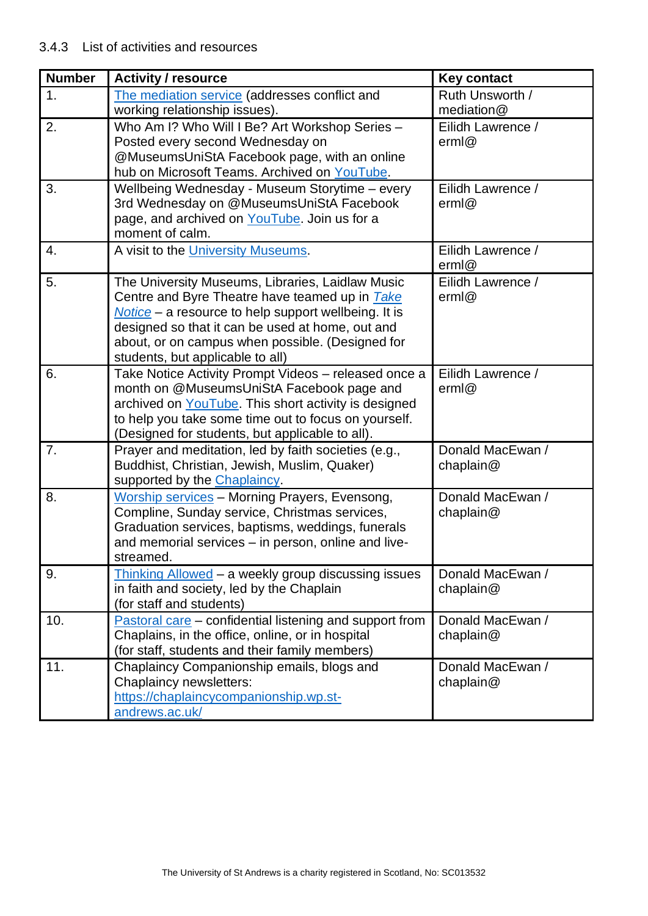| <b>Number</b> | <b>Activity / resource</b>                                                                                   | <b>Key contact</b> |
|---------------|--------------------------------------------------------------------------------------------------------------|--------------------|
| 1.            | The mediation service (addresses conflict and                                                                | Ruth Unsworth /    |
|               | working relationship issues).                                                                                | mediation@         |
| 2.            | Who Am I? Who Will I Be? Art Workshop Series -                                                               | Eilidh Lawrence /  |
|               | Posted every second Wednesday on                                                                             | erm@               |
|               | @MuseumsUniStA Facebook page, with an online                                                                 |                    |
|               | hub on Microsoft Teams. Archived on YouTube.                                                                 |                    |
| 3.            | Wellbeing Wednesday - Museum Storytime - every                                                               | Eilidh Lawrence /  |
|               | 3rd Wednesday on @MuseumsUniStA Facebook<br>page, and archived on YouTube. Join us for a                     | erm@               |
|               | moment of calm.                                                                                              |                    |
| 4.            | A visit to the University Museums.                                                                           | Eilidh Lawrence /  |
|               |                                                                                                              | erm@               |
| 5.            | The University Museums, Libraries, Laidlaw Music                                                             | Eilidh Lawrence /  |
|               | Centre and Byre Theatre have teamed up in <b>Take</b>                                                        | erm@               |
|               | $Notice - a resource to help support wellbeing. It is$                                                       |                    |
|               | designed so that it can be used at home, out and                                                             |                    |
|               | about, or on campus when possible. (Designed for                                                             |                    |
|               | students, but applicable to all)                                                                             |                    |
| 6.            | Take Notice Activity Prompt Videos - released once a                                                         | Eilidh Lawrence /  |
|               | month on @MuseumsUniStA Facebook page and                                                                    | erm@               |
|               | archived on YouTube. This short activity is designed<br>to help you take some time out to focus on yourself. |                    |
|               | (Designed for students, but applicable to all).                                                              |                    |
| 7.            | Prayer and meditation, led by faith societies (e.g.,                                                         | Donald MacEwan /   |
|               | Buddhist, Christian, Jewish, Muslim, Quaker)                                                                 | chaplain $@$       |
|               | supported by the Chaplaincy.                                                                                 |                    |
| 8.            | <b>Worship services</b> - Morning Prayers, Evensong,                                                         | Donald MacEwan /   |
|               | Compline, Sunday service, Christmas services,                                                                | chaplain $@$       |
|               | Graduation services, baptisms, weddings, funerals                                                            |                    |
|               | and memorial services - in person, online and live-                                                          |                    |
|               | streamed.                                                                                                    |                    |
| 9.            | Thinking Allowed - a weekly group discussing issues                                                          | Donald MacEwan /   |
|               | in faith and society, led by the Chaplain<br>(for staff and students)                                        | chaplain $@$       |
| 10.           | Pastoral care – confidential listening and support from                                                      | Donald MacEwan /   |
|               | Chaplains, in the office, online, or in hospital                                                             | chaplain@          |
|               | (for staff, students and their family members)                                                               |                    |
| 11.           | Chaplaincy Companionship emails, blogs and                                                                   | Donald MacEwan /   |
|               | Chaplaincy newsletters:                                                                                      | chaplain $@$       |
|               | https://chaplaincycompanionship.wp.st-                                                                       |                    |
|               | andrews.ac.uk/                                                                                               |                    |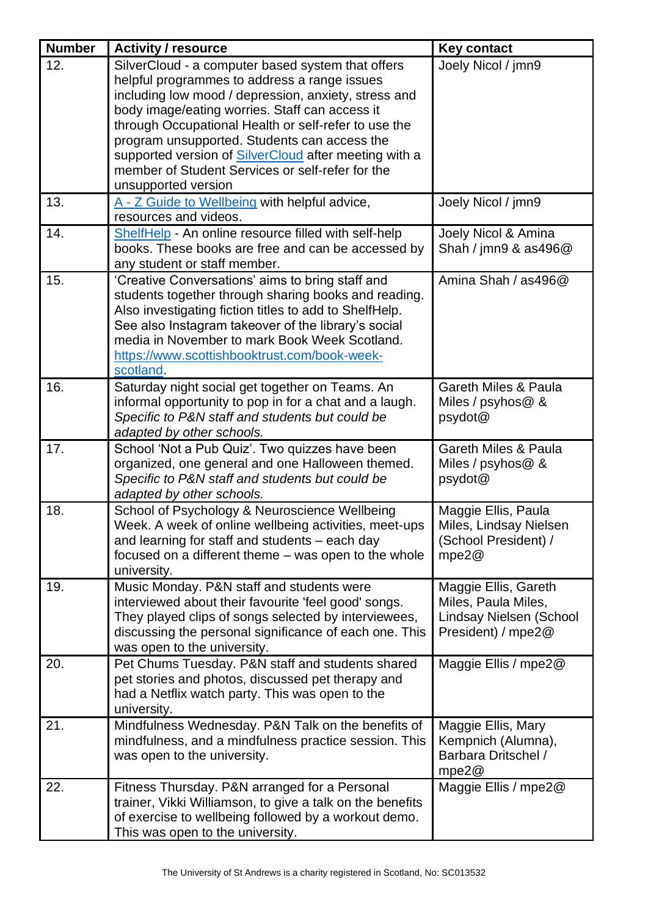| <b>Number</b> | <b>Activity / resource</b>                                                                                                                                                                                                                                                                                                              | <b>Key contact</b>                                                                           |
|---------------|-----------------------------------------------------------------------------------------------------------------------------------------------------------------------------------------------------------------------------------------------------------------------------------------------------------------------------------------|----------------------------------------------------------------------------------------------|
| 12.           | SilverCloud - a computer based system that offers<br>helpful programmes to address a range issues<br>including low mood / depression, anxiety, stress and<br>body image/eating worries. Staff can access it<br>through Occupational Health or self-refer to use the<br>program unsupported. Students can access the                     | Joely Nicol / jmn9                                                                           |
|               | supported version of SilverCloud after meeting with a<br>member of Student Services or self-refer for the<br>unsupported version                                                                                                                                                                                                        |                                                                                              |
| 13.           | A - Z Guide to Wellbeing with helpful advice,<br>resources and videos.                                                                                                                                                                                                                                                                  | Joely Nicol / jmn9                                                                           |
| 14.           | ShelfHelp - An online resource filled with self-help<br>books. These books are free and can be accessed by<br>any student or staff member.                                                                                                                                                                                              | Joely Nicol & Amina<br>Shah / jmn9 $\&$ as496 $@$                                            |
| 15.           | 'Creative Conversations' aims to bring staff and<br>students together through sharing books and reading.<br>Also investigating fiction titles to add to ShelfHelp.<br>See also Instagram takeover of the library's social<br>media in November to mark Book Week Scotland.<br>https://www.scottishbooktrust.com/book-week-<br>scotland. | Amina Shah / as496@                                                                          |
| 16.           | Saturday night social get together on Teams. An<br>informal opportunity to pop in for a chat and a laugh.<br>Specific to P&N staff and students but could be<br>adapted by other schools.                                                                                                                                               | <b>Gareth Miles &amp; Paula</b><br>Miles / psyhos@ &<br>psydot@                              |
| 17.           | School 'Not a Pub Quiz'. Two quizzes have been<br>organized, one general and one Halloween themed.<br>Specific to P&N staff and students but could be<br>adapted by other schools.                                                                                                                                                      | <b>Gareth Miles &amp; Paula</b><br>Miles / $psy$ hos $@$ &<br>psydot@                        |
| 18.           | School of Psychology & Neuroscience Wellbeing<br>Week. A week of online wellbeing activities, meet-ups<br>and learning for staff and students – each day<br>focused on a different theme – was open to the whole<br>university.                                                                                                         | Maggie Ellis, Paula<br>Miles, Lindsay Nielsen<br>(School President) /<br>mpe2@               |
| 19.           | Music Monday. P&N staff and students were<br>interviewed about their favourite 'feel good' songs.<br>They played clips of songs selected by interviewees,<br>discussing the personal significance of each one. This<br>was open to the university.                                                                                      | Maggie Ellis, Gareth<br>Miles, Paula Miles,<br>Lindsay Nielsen (School<br>President) / mpe2@ |
| 20.           | Pet Chums Tuesday. P&N staff and students shared<br>pet stories and photos, discussed pet therapy and<br>had a Netflix watch party. This was open to the<br>university.                                                                                                                                                                 | Maggie Ellis / mpe2@                                                                         |
| 21.           | Mindfulness Wednesday. P&N Talk on the benefits of<br>mindfulness, and a mindfulness practice session. This<br>was open to the university.                                                                                                                                                                                              | Maggie Ellis, Mary<br>Kempnich (Alumna),<br>Barbara Dritschel /<br>mpe2@                     |
| 22.           | Fitness Thursday. P&N arranged for a Personal<br>trainer, Vikki Williamson, to give a talk on the benefits<br>of exercise to wellbeing followed by a workout demo.<br>This was open to the university.                                                                                                                                  | Maggie Ellis / mpe2@                                                                         |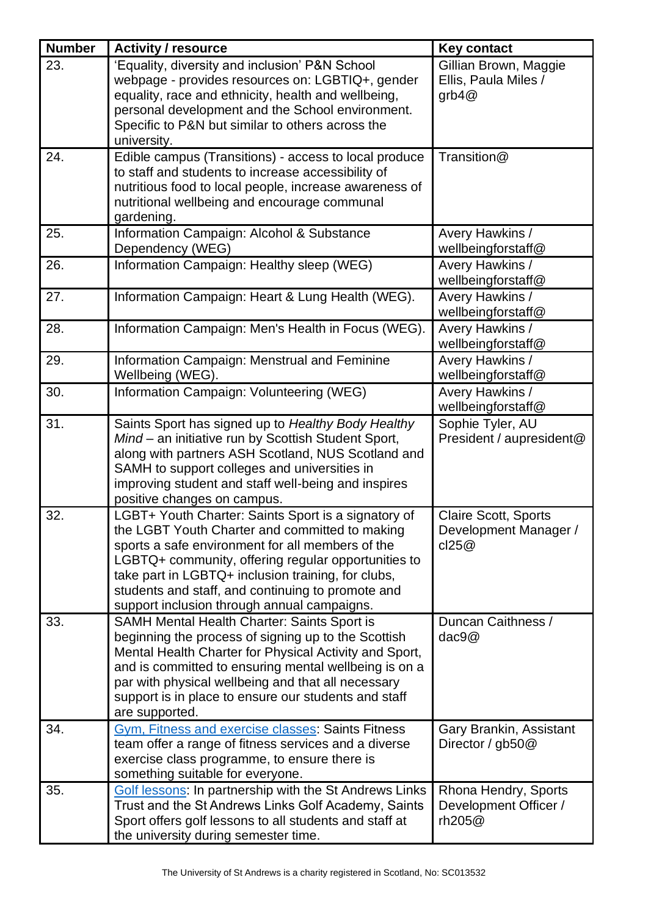| <b>Number</b> | <b>Activity / resource</b>                                                                                                                                                                                                                                                                                                                                                 | <b>Key contact</b>                                            |
|---------------|----------------------------------------------------------------------------------------------------------------------------------------------------------------------------------------------------------------------------------------------------------------------------------------------------------------------------------------------------------------------------|---------------------------------------------------------------|
| 23.           | 'Equality, diversity and inclusion' P&N School<br>webpage - provides resources on: LGBTIQ+, gender<br>equality, race and ethnicity, health and wellbeing,<br>personal development and the School environment.<br>Specific to P&N but similar to others across the<br>university.                                                                                           | Gillian Brown, Maggie<br>Ellis, Paula Miles /<br>grb $4@$     |
| 24.           | Edible campus (Transitions) - access to local produce<br>to staff and students to increase accessibility of<br>nutritious food to local people, increase awareness of<br>nutritional wellbeing and encourage communal<br>gardening.                                                                                                                                        | Transition@                                                   |
| 25.           | Information Campaign: Alcohol & Substance<br>Dependency (WEG)                                                                                                                                                                                                                                                                                                              | Avery Hawkins /<br>wellbeingforstaff@                         |
| 26.           | Information Campaign: Healthy sleep (WEG)                                                                                                                                                                                                                                                                                                                                  | Avery Hawkins /<br>wellbeingforstaff@                         |
| 27.           | Information Campaign: Heart & Lung Health (WEG).                                                                                                                                                                                                                                                                                                                           | Avery Hawkins /<br>wellbeingforstaff@                         |
| 28.           | Information Campaign: Men's Health in Focus (WEG).                                                                                                                                                                                                                                                                                                                         | Avery Hawkins /<br>wellbeingforstaff@                         |
| 29.           | Information Campaign: Menstrual and Feminine<br>Wellbeing (WEG).                                                                                                                                                                                                                                                                                                           | Avery Hawkins /<br>wellbeingforstaff@                         |
| 30.           | Information Campaign: Volunteering (WEG)                                                                                                                                                                                                                                                                                                                                   | Avery Hawkins /<br>wellbeingforstaff@                         |
| 31.           | Saints Sport has signed up to Healthy Body Healthy<br>Mind - an initiative run by Scottish Student Sport,<br>along with partners ASH Scotland, NUS Scotland and<br>SAMH to support colleges and universities in<br>improving student and staff well-being and inspires<br>positive changes on campus.                                                                      | Sophie Tyler, AU<br>President / aupresident@                  |
| 32.           | LGBT+ Youth Charter: Saints Sport is a signatory of<br>the LGBT Youth Charter and committed to making<br>sports a safe environment for all members of the<br>LGBTQ+ community, offering regular opportunities to<br>take part in LGBTQ+ inclusion training, for clubs,<br>students and staff, and continuing to promote and<br>support inclusion through annual campaigns. | <b>Claire Scott, Sports</b><br>Development Manager /<br>cl25@ |
| 33.           | SAMH Mental Health Charter: Saints Sport is<br>beginning the process of signing up to the Scottish<br>Mental Health Charter for Physical Activity and Sport,<br>and is committed to ensuring mental wellbeing is on a<br>par with physical wellbeing and that all necessary<br>support is in place to ensure our students and staff<br>are supported.                      | Duncan Caithness /<br>dac9@                                   |
| 34.           | Gym, Fitness and exercise classes: Saints Fitness<br>team offer a range of fitness services and a diverse<br>exercise class programme, to ensure there is<br>something suitable for everyone.                                                                                                                                                                              | Gary Brankin, Assistant<br>Director / $gb50@$                 |
| 35.           | <b>Golf lessons: In partnership with the St Andrews Links</b><br>Trust and the St Andrews Links Golf Academy, Saints<br>Sport offers golf lessons to all students and staff at<br>the university during semester time.                                                                                                                                                     | Rhona Hendry, Sports<br>Development Officer /<br>rh205@       |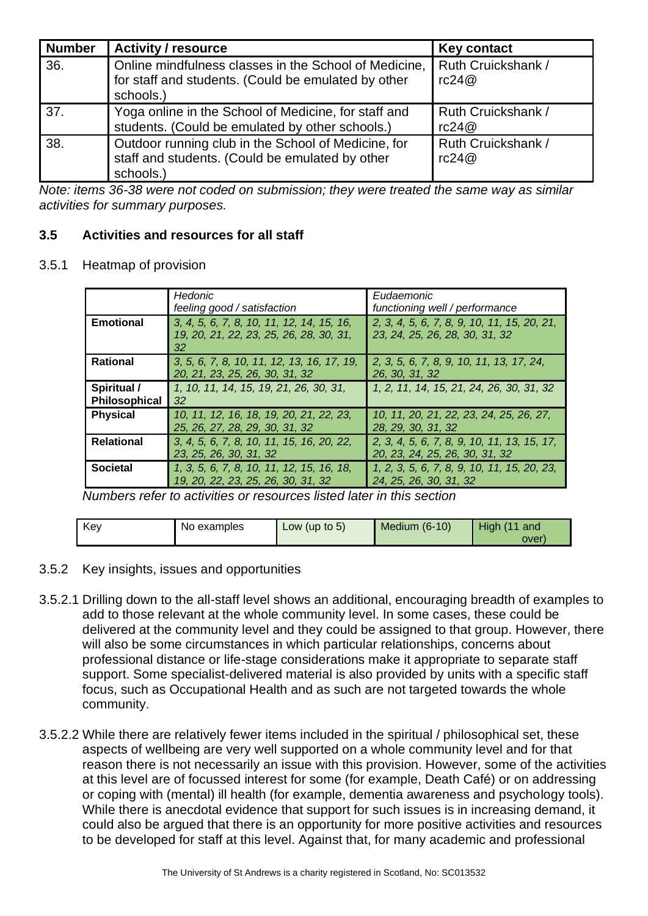| <b>Number</b> | <b>Activity / resource</b>                                                                                                  | <b>Key contact</b>          |
|---------------|-----------------------------------------------------------------------------------------------------------------------------|-----------------------------|
| 36.           | Online mindfulness classes in the School of Medicine, I<br>for staff and students. (Could be emulated by other<br>schools.) | Ruth Cruickshank /<br>rc24@ |
| 37.           | Yoga online in the School of Medicine, for staff and<br>students. (Could be emulated by other schools.)                     | Ruth Cruickshank /<br>rc24@ |
| 38.           | Outdoor running club in the School of Medicine, for<br>staff and students. (Could be emulated by other<br>schools.)         | Ruth Cruickshank /<br>rc24@ |

*Note: items 36-38 were not coded on submission; they were treated the same way as similar activities for summary purposes.*

## <span id="page-13-0"></span>**3.5 Activities and resources for all staff**

#### 3.5.1 Heatmap of provision

|                   | Hedonic                                       | Eudaemonic                                  |
|-------------------|-----------------------------------------------|---------------------------------------------|
|                   | feeling good / satisfaction                   | functioning well / performance              |
| <b>Emotional</b>  | 3, 4, 5, 6, 7, 8, 10, 11, 12, 14, 15, 16,     | 2, 3, 4, 5, 6, 7, 8, 9, 10, 11, 15, 20, 21, |
|                   | 19, 20, 21, 22, 23, 25, 26, 28, 30, 31,<br>32 | 23, 24, 25, 26, 28, 30, 31, 32              |
| <b>Rational</b>   | 3, 5, 6, 7, 8, 10, 11, 12, 13, 16, 17, 19,    | 2, 3, 5, 6, 7, 8, 9, 10, 11, 13, 17, 24,    |
|                   | 20, 21, 23, 25, 26, 30, 31, 32                | 26, 30, 31, 32                              |
| Spiritual /       | 1, 10, 11, 14, 15, 19, 21, 26, 30, 31,        | 1, 2, 11, 14, 15, 21, 24, 26, 30, 31, 32    |
| Philosophical     | -32                                           |                                             |
| <b>Physical</b>   | 10, 11, 12, 16, 18, 19, 20, 21, 22, 23,       | 10, 11, 20, 21, 22, 23, 24, 25, 26, 27,     |
|                   | 25, 26, 27, 28, 29, 30, 31, 32                | 28, 29, 30, 31, 32                          |
| <b>Relational</b> | 3, 4, 5, 6, 7, 8, 10, 11, 15, 16, 20, 22,     | 2, 3, 4, 5, 6, 7, 8, 9, 10, 11, 13, 15, 17, |
|                   | 23, 25, 26, 30, 31, 32                        | 20, 23, 24, 25, 26, 30, 31, 32              |
| <b>Societal</b>   | 1, 3, 5, 6, 7, 8, 10, 11, 12, 15, 16, 18,     | 1, 2, 3, 5, 6, 7, 8, 9, 10, 11, 15, 20, 23, |
|                   | 19, 20, 22, 23, 25, 26, 30, 31, 32            | 24, 25, 26, 30, 31, 32                      |

*Numbers refer to activities or resources listed later in this section*

| Key | No examples | Low (up to $5$ ) | <b>Medium (6-10)</b> | High(11)<br>and |
|-----|-------------|------------------|----------------------|-----------------|
|     |             |                  |                      | over            |

#### 3.5.2 Key insights, issues and opportunities

- 3.5.2.1 Drilling down to the all-staff level shows an additional, encouraging breadth of examples to add to those relevant at the whole community level. In some cases, these could be delivered at the community level and they could be assigned to that group. However, there will also be some circumstances in which particular relationships, concerns about professional distance or life-stage considerations make it appropriate to separate staff support. Some specialist-delivered material is also provided by units with a specific staff focus, such as Occupational Health and as such are not targeted towards the whole community.
- 3.5.2.2 While there are relatively fewer items included in the spiritual / philosophical set, these aspects of wellbeing are very well supported on a whole community level and for that reason there is not necessarily an issue with this provision. However, some of the activities at this level are of focussed interest for some (for example, Death Café) or on addressing or coping with (mental) ill health (for example, dementia awareness and psychology tools). While there is anecdotal evidence that support for such issues is in increasing demand, it could also be argued that there is an opportunity for more positive activities and resources to be developed for staff at this level. Against that, for many academic and professional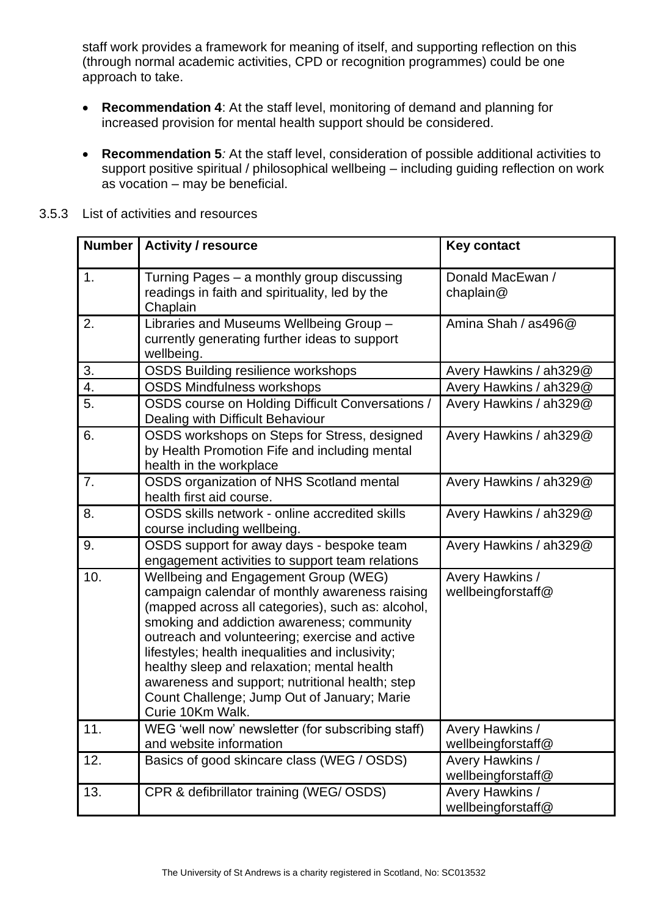staff work provides a framework for meaning of itself, and supporting reflection on this (through normal academic activities, CPD or recognition programmes) could be one approach to take.

- <span id="page-14-0"></span>• **Recommendation 4**: At the staff level, monitoring of demand and planning for increased provision for mental health support should be considered.
- <span id="page-14-1"></span>• **Recommendation 5***:* At the staff level, consideration of possible additional activities to support positive spiritual / philosophical wellbeing – including guiding reflection on work as vocation – may be beneficial.

|     | <b>Number   Activity / resource</b>                                                                                                                                                                                                                                                                                                                                                                                                                                  | <b>Key contact</b>                    |
|-----|----------------------------------------------------------------------------------------------------------------------------------------------------------------------------------------------------------------------------------------------------------------------------------------------------------------------------------------------------------------------------------------------------------------------------------------------------------------------|---------------------------------------|
| 1.  | Turning Pages - a monthly group discussing<br>readings in faith and spirituality, led by the<br>Chaplain                                                                                                                                                                                                                                                                                                                                                             | Donald MacEwan /<br>chaplain $@$      |
| 2.  | Libraries and Museums Wellbeing Group -<br>currently generating further ideas to support<br>wellbeing.                                                                                                                                                                                                                                                                                                                                                               | Amina Shah / as496@                   |
| 3.  | <b>OSDS Building resilience workshops</b>                                                                                                                                                                                                                                                                                                                                                                                                                            | Avery Hawkins / ah329@                |
| 4.  | <b>OSDS Mindfulness workshops</b>                                                                                                                                                                                                                                                                                                                                                                                                                                    | Avery Hawkins / ah329@                |
| 5.  | OSDS course on Holding Difficult Conversations /<br>Dealing with Difficult Behaviour                                                                                                                                                                                                                                                                                                                                                                                 | Avery Hawkins / ah329@                |
| 6.  | OSDS workshops on Steps for Stress, designed<br>by Health Promotion Fife and including mental<br>health in the workplace                                                                                                                                                                                                                                                                                                                                             | Avery Hawkins / ah329@                |
| 7.  | OSDS organization of NHS Scotland mental<br>health first aid course.                                                                                                                                                                                                                                                                                                                                                                                                 | Avery Hawkins / ah329@                |
| 8.  | OSDS skills network - online accredited skills<br>course including wellbeing.                                                                                                                                                                                                                                                                                                                                                                                        | Avery Hawkins / ah329@                |
| 9.  | OSDS support for away days - bespoke team<br>engagement activities to support team relations                                                                                                                                                                                                                                                                                                                                                                         | Avery Hawkins / ah329@                |
| 10. | Wellbeing and Engagement Group (WEG)<br>campaign calendar of monthly awareness raising<br>(mapped across all categories), such as: alcohol,<br>smoking and addiction awareness; community<br>outreach and volunteering; exercise and active<br>lifestyles; health inequalities and inclusivity;<br>healthy sleep and relaxation; mental health<br>awareness and support; nutritional health; step<br>Count Challenge; Jump Out of January; Marie<br>Curie 10Km Walk. | Avery Hawkins /<br>wellbeingforstaff@ |
| 11. | WEG 'well now' newsletter (for subscribing staff)<br>and website information                                                                                                                                                                                                                                                                                                                                                                                         | Avery Hawkins /<br>wellbeingforstaff@ |
| 12. | Basics of good skincare class (WEG / OSDS)                                                                                                                                                                                                                                                                                                                                                                                                                           | Avery Hawkins /<br>wellbeingforstaff@ |
| 13. | CPR & defibrillator training (WEG/ OSDS)                                                                                                                                                                                                                                                                                                                                                                                                                             | Avery Hawkins /<br>wellbeingforstaff@ |

#### 3.5.3 List of activities and resources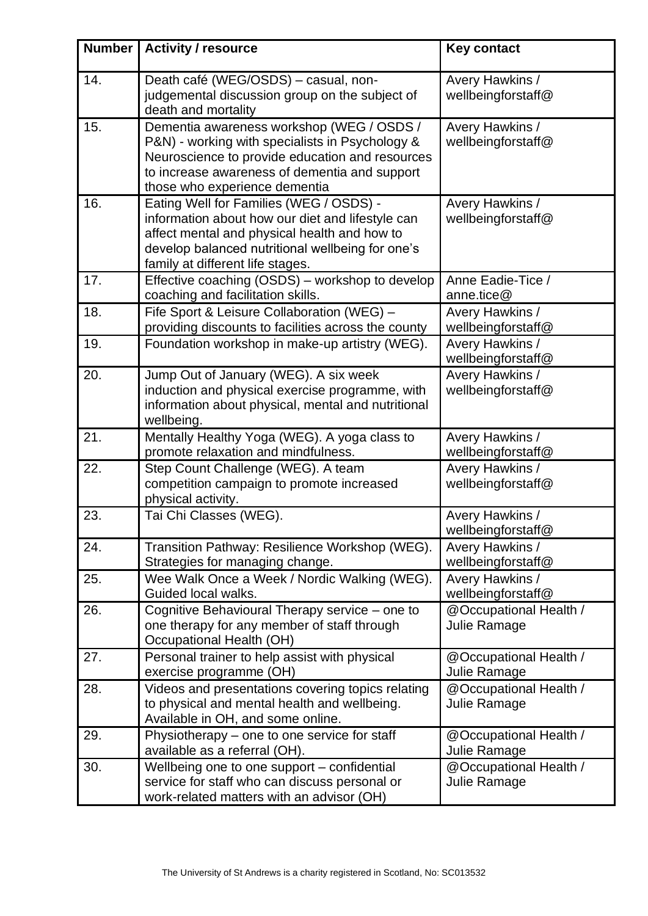| <b>Number</b> | <b>Activity / resource</b>                                                                                                                                                                                                          | <b>Key contact</b>                     |
|---------------|-------------------------------------------------------------------------------------------------------------------------------------------------------------------------------------------------------------------------------------|----------------------------------------|
| 14.           | Death café (WEG/OSDS) - casual, non-<br>judgemental discussion group on the subject of<br>death and mortality                                                                                                                       | Avery Hawkins /<br>wellbeingforstaff@  |
| 15.           | Dementia awareness workshop (WEG / OSDS /<br>P&N) - working with specialists in Psychology &<br>Neuroscience to provide education and resources<br>to increase awareness of dementia and support<br>those who experience dementia   | Avery Hawkins /<br>wellbeingforstaff@  |
| 16.           | Eating Well for Families (WEG / OSDS) -<br>information about how our diet and lifestyle can<br>affect mental and physical health and how to<br>develop balanced nutritional wellbeing for one's<br>family at different life stages. | Avery Hawkins /<br>wellbeingforstaff@  |
| 17.           | Effective coaching (OSDS) – workshop to develop<br>coaching and facilitation skills.                                                                                                                                                | Anne Eadie-Tice /<br>anne.tice@        |
| 18.           | Fife Sport & Leisure Collaboration (WEG) -<br>providing discounts to facilities across the county                                                                                                                                   | Avery Hawkins /<br>wellbeingforstaff@  |
| 19.           | Foundation workshop in make-up artistry (WEG).                                                                                                                                                                                      | Avery Hawkins /<br>wellbeingforstaff@  |
| 20.           | Jump Out of January (WEG). A six week<br>induction and physical exercise programme, with<br>information about physical, mental and nutritional<br>wellbeing.                                                                        | Avery Hawkins /<br>wellbeingforstaff@  |
| 21.           | Mentally Healthy Yoga (WEG). A yoga class to<br>promote relaxation and mindfulness.                                                                                                                                                 | Avery Hawkins /<br>wellbeingforstaff@  |
| 22.           | Step Count Challenge (WEG). A team<br>competition campaign to promote increased<br>physical activity.                                                                                                                               | Avery Hawkins /<br>wellbeingforstaff@  |
| 23.           | Tai Chi Classes (WEG).                                                                                                                                                                                                              | Avery Hawkins /<br>wellbeingforstaff@  |
| 24.           | Transition Pathway: Resilience Workshop (WEG).<br>Strategies for managing change.                                                                                                                                                   | Avery Hawkins /<br>wellbeingforstaff@  |
| 25.           | Wee Walk Once a Week / Nordic Walking (WEG).<br>Guided local walks.                                                                                                                                                                 | Avery Hawkins /<br>wellbeingforstaff@  |
| 26.           | Cognitive Behavioural Therapy service - one to<br>one therapy for any member of staff through<br><b>Occupational Health (OH)</b>                                                                                                    | @Occupational Health /<br>Julie Ramage |
| 27.           | Personal trainer to help assist with physical<br>exercise programme (OH)                                                                                                                                                            | @Occupational Health /<br>Julie Ramage |
| 28.           | Videos and presentations covering topics relating<br>to physical and mental health and wellbeing.<br>Available in OH, and some online.                                                                                              | @Occupational Health /<br>Julie Ramage |
| 29.           | Physiotherapy - one to one service for staff<br>available as a referral (OH).                                                                                                                                                       | @Occupational Health /<br>Julie Ramage |
| 30.           | Wellbeing one to one support – confidential<br>service for staff who can discuss personal or<br>work-related matters with an advisor (OH)                                                                                           | @Occupational Health /<br>Julie Ramage |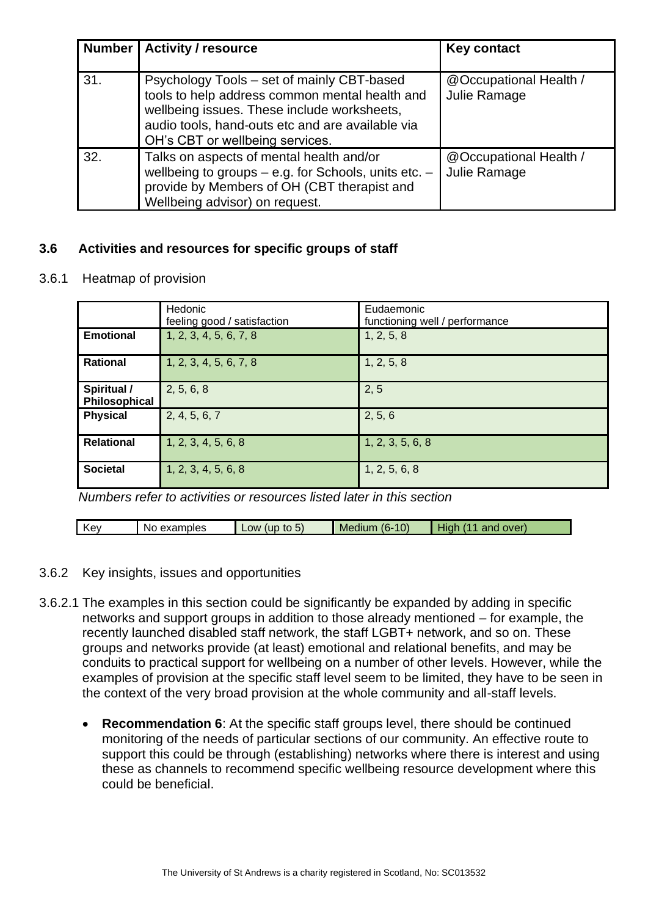| <b>Number</b> | <b>Activity / resource</b>                                                                                                                                                                                                         | <b>Key contact</b>                     |
|---------------|------------------------------------------------------------------------------------------------------------------------------------------------------------------------------------------------------------------------------------|----------------------------------------|
| 31.           | Psychology Tools - set of mainly CBT-based<br>tools to help address common mental health and<br>wellbeing issues. These include worksheets,<br>audio tools, hand-outs etc and are available via<br>OH's CBT or wellbeing services. | @Occupational Health /<br>Julie Ramage |
| 32.           | Talks on aspects of mental health and/or<br>wellbeing to groups - e.g. for Schools, units etc. -<br>provide by Members of OH (CBT therapist and<br>Wellbeing advisor) on request.                                                  | @Occupational Health /<br>Julie Ramage |

## <span id="page-16-0"></span>**3.6 Activities and resources for specific groups of staff**

3.6.1 Heatmap of provision

|                              | Hedonic<br>feeling good / satisfaction | Eudaemonic<br>functioning well / performance |
|------------------------------|----------------------------------------|----------------------------------------------|
| <b>Emotional</b>             | 1, 2, 3, 4, 5, 6, 7, 8                 | 1, 2, 5, 8                                   |
| <b>Rational</b>              | 1, 2, 3, 4, 5, 6, 7, 8                 | 1, 2, 5, 8                                   |
| Spiritual /<br>Philosophical | 2, 5, 6, 8                             | 2, 5                                         |
| <b>Physical</b>              | 2, 4, 5, 6, 7                          | 2, 5, 6                                      |
| <b>Relational</b>            | 1, 2, 3, 4, 5, 6, 8                    | 1, 2, 3, 5, 6, 8                             |
| <b>Societal</b>              | 1, 2, 3, 4, 5, 6, 8                    | 1, 2, 5, 6, 8                                |

*Numbers refer to activities or resources listed later in this section*

| Kev | N٢<br>examples | to<br><b>OW</b><br>(up)<br>$\mathcal{D}$ | 10)<br>16-<br><b>Medium</b> | over<br>and<br>Hiar |
|-----|----------------|------------------------------------------|-----------------------------|---------------------|

#### 3.6.2 Key insights, issues and opportunities

- <span id="page-16-1"></span>3.6.2.1 The examples in this section could be significantly be expanded by adding in specific networks and support groups in addition to those already mentioned – for example, the recently launched disabled staff network, the staff LGBT+ network, and so on. These groups and networks provide (at least) emotional and relational benefits, and may be conduits to practical support for wellbeing on a number of other levels. However, while the examples of provision at the specific staff level seem to be limited, they have to be seen in the context of the very broad provision at the whole community and all-staff levels.
	- **Recommendation 6**: At the specific staff groups level, there should be continued monitoring of the needs of particular sections of our community. An effective route to support this could be through (establishing) networks where there is interest and using these as channels to recommend specific wellbeing resource development where this could be beneficial.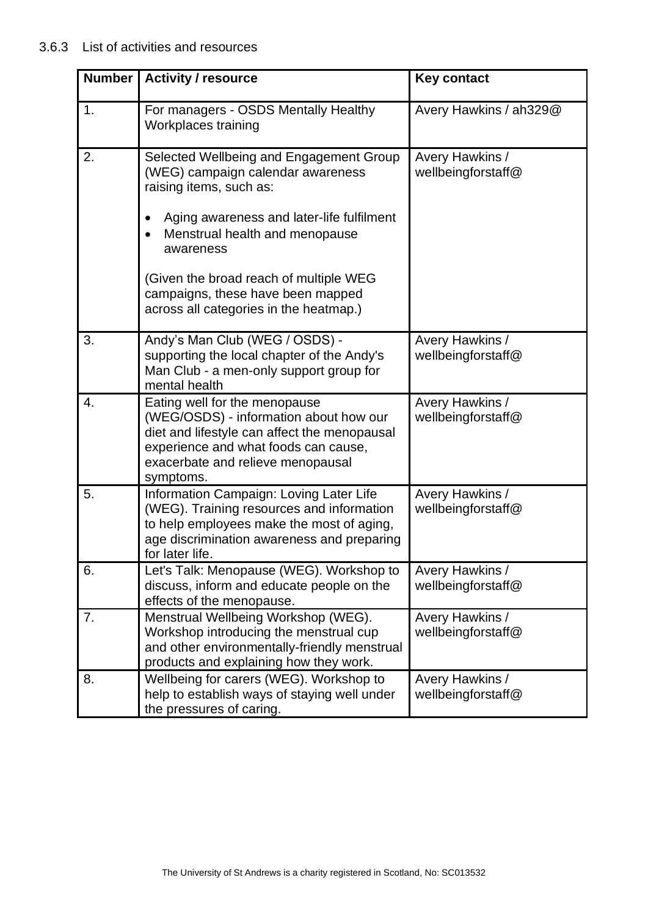| <b>Number</b>  | <b>Activity / resource</b><br><b>Key contact</b>                                                                                                                                                                  |                                       |
|----------------|-------------------------------------------------------------------------------------------------------------------------------------------------------------------------------------------------------------------|---------------------------------------|
| $\mathbf{1}$ . | For managers - OSDS Mentally Healthy<br>Workplaces training                                                                                                                                                       | Avery Hawkins / ah329@                |
| 2.             | Selected Wellbeing and Engagement Group<br>(WEG) campaign calendar awareness<br>raising items, such as:                                                                                                           | Avery Hawkins /<br>wellbeingforstaff@ |
|                | Aging awareness and later-life fulfilment<br>Menstrual health and menopause<br>awareness                                                                                                                          |                                       |
|                | (Given the broad reach of multiple WEG<br>campaigns, these have been mapped<br>across all categories in the heatmap.)                                                                                             |                                       |
| 3.             | Andy's Man Club (WEG / OSDS) -<br>supporting the local chapter of the Andy's<br>Man Club - a men-only support group for<br>mental health                                                                          | Avery Hawkins /<br>wellbeingforstaff@ |
| 4.             | Eating well for the menopause<br>(WEG/OSDS) - information about how our<br>diet and lifestyle can affect the menopausal<br>experience and what foods can cause,<br>exacerbate and relieve menopausal<br>symptoms. | Avery Hawkins /<br>wellbeingforstaff@ |
| 5.             | Information Campaign: Loving Later Life<br>(WEG). Training resources and information<br>to help employees make the most of aging,<br>age discrimination awareness and preparing<br>for later life.                | Avery Hawkins /<br>wellbeingforstaff@ |
| 6.             | Let's Talk: Menopause (WEG). Workshop to<br>discuss, inform and educate people on the<br>effects of the menopause.                                                                                                | Avery Hawkins /<br>wellbeingforstaff@ |
| 7.             | Menstrual Wellbeing Workshop (WEG).<br>Workshop introducing the menstrual cup<br>and other environmentally-friendly menstrual<br>products and explaining how they work.                                           | Avery Hawkins /<br>wellbeingforstaff@ |
| 8.             | Wellbeing for carers (WEG). Workshop to<br>help to establish ways of staying well under<br>the pressures of caring.                                                                                               | Avery Hawkins /<br>wellbeingforstaff@ |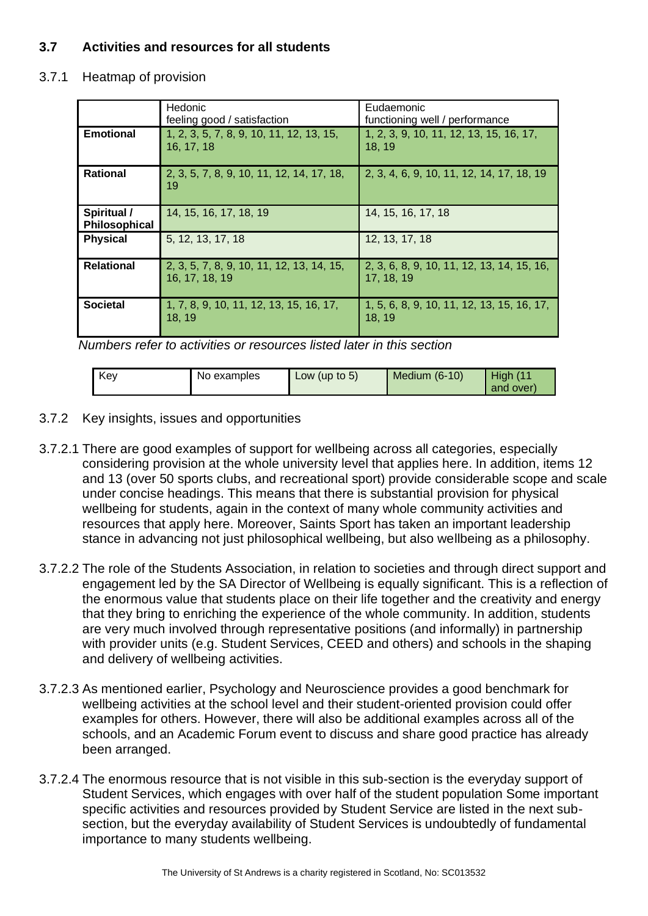# <span id="page-18-0"></span>**3.7 Activities and resources for all students**

#### 3.7.1 Heatmap of provision

|                              | Hedonic<br>feeling good / satisfaction                      | Eudaemonic<br>functioning well / performance             |
|------------------------------|-------------------------------------------------------------|----------------------------------------------------------|
| <b>Emotional</b>             | 1, 2, 3, 5, 7, 8, 9, 10, 11, 12, 13, 15,<br>16, 17, 18      | 1, 2, 3, 9, 10, 11, 12, 13, 15, 16, 17,<br>18.19         |
| <b>Rational</b>              | 2, 3, 5, 7, 8, 9, 10, 11, 12, 14, 17, 18,<br>19             | 2, 3, 4, 6, 9, 10, 11, 12, 14, 17, 18, 19                |
| Spiritual /<br>Philosophical | 14, 15, 16, 17, 18, 19                                      | 14, 15, 16, 17, 18                                       |
| <b>Physical</b>              | 5, 12, 13, 17, 18                                           | 12, 13, 17, 18                                           |
| <b>Relational</b>            | 2, 3, 5, 7, 8, 9, 10, 11, 12, 13, 14, 15,<br>16, 17, 18, 19 | 2, 3, 6, 8, 9, 10, 11, 12, 13, 14, 15, 16,<br>17, 18, 19 |
| <b>Societal</b>              | 1, 7, 8, 9, 10, 11, 12, 13, 15, 16, 17,<br>18, 19           | 1, 5, 6, 8, 9, 10, 11, 12, 13, 15, 16, 17,<br>18, 19     |

*Numbers refer to activities or resources listed later in this section*

| Key | No examples | Low (up to $5$ ) | Medium (6-10) | <b>High</b><br>(11)<br>and over) |  |
|-----|-------------|------------------|---------------|----------------------------------|--|
|-----|-------------|------------------|---------------|----------------------------------|--|

- 3.7.2 Key insights, issues and opportunities
- 3.7.2.1 There are good examples of support for wellbeing across all categories, especially considering provision at the whole university level that applies here. In addition, items 12 and 13 (over 50 sports clubs, and recreational sport) provide considerable scope and scale under concise headings. This means that there is substantial provision for physical wellbeing for students, again in the context of many whole community activities and resources that apply here. Moreover, Saints Sport has taken an important leadership stance in advancing not just philosophical wellbeing, but also wellbeing as a philosophy.
- 3.7.2.2 The role of the Students Association, in relation to societies and through direct support and engagement led by the SA Director of Wellbeing is equally significant. This is a reflection of the enormous value that students place on their life together and the creativity and energy that they bring to enriching the experience of the whole community. In addition, students are very much involved through representative positions (and informally) in partnership with provider units (e.g. Student Services, CEED and others) and schools in the shaping and delivery of wellbeing activities.
- 3.7.2.3 As mentioned earlier, Psychology and Neuroscience provides a good benchmark for wellbeing activities at the school level and their student-oriented provision could offer examples for others. However, there will also be additional examples across all of the schools, and an Academic Forum event to discuss and share good practice has already been arranged.
- 3.7.2.4 The enormous resource that is not visible in this sub-section is the everyday support of Student Services, which engages with over half of the student population Some important specific activities and resources provided by Student Service are listed in the next subsection, but the everyday availability of Student Services is undoubtedly of fundamental importance to many students wellbeing.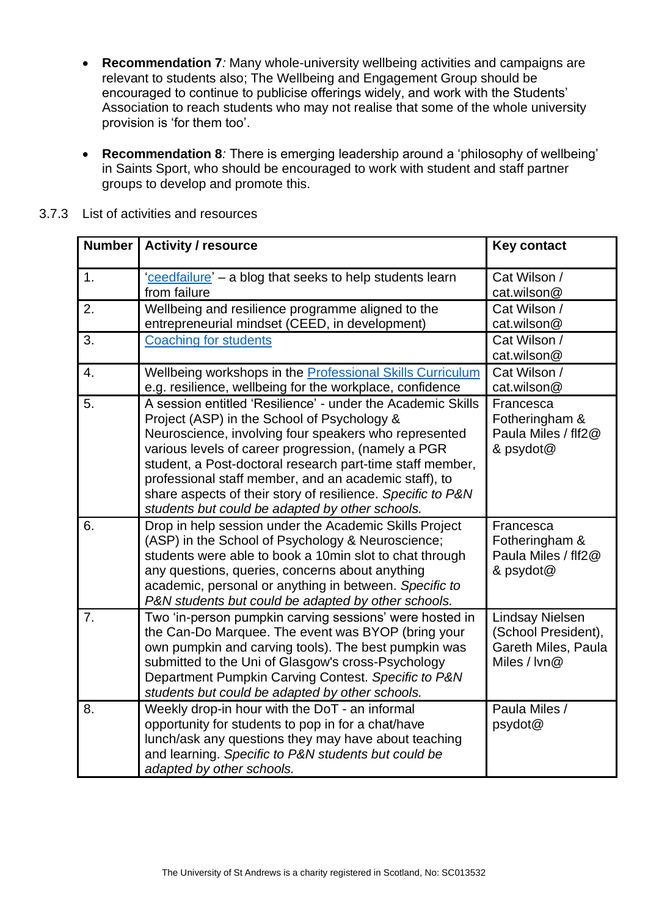- <span id="page-19-0"></span>• **Recommendation 7***:* Many whole-university wellbeing activities and campaigns are relevant to students also; The Wellbeing and Engagement Group should be encouraged to continue to publicise offerings widely, and work with the Students' Association to reach students who may not realise that some of the whole university provision is 'for them too'.
- <span id="page-19-1"></span>• **Recommendation 8***:* There is emerging leadership around a 'philosophy of wellbeing' in Saints Sport, who should be encouraged to work with student and staff partner groups to develop and promote this.

| <b>Number</b> | <b>Activity / resource</b>                                                                                                                                                                                                                                                                                                                                                                                                                                         | <b>Key contact</b>                                                                   |
|---------------|--------------------------------------------------------------------------------------------------------------------------------------------------------------------------------------------------------------------------------------------------------------------------------------------------------------------------------------------------------------------------------------------------------------------------------------------------------------------|--------------------------------------------------------------------------------------|
| 1.            | 'ceedfailure' - a blog that seeks to help students learn<br>from failure                                                                                                                                                                                                                                                                                                                                                                                           | Cat Wilson /<br>cat.wilson@                                                          |
| 2.            | Wellbeing and resilience programme aligned to the<br>entrepreneurial mindset (CEED, in development)                                                                                                                                                                                                                                                                                                                                                                | Cat Wilson /<br>cat.wilson@                                                          |
| 3.            | <b>Coaching for students</b>                                                                                                                                                                                                                                                                                                                                                                                                                                       | Cat Wilson /<br>cat.wilson@                                                          |
| 4.            | Wellbeing workshops in the <b>Professional Skills Curriculum</b><br>e.g. resilience, wellbeing for the workplace, confidence                                                                                                                                                                                                                                                                                                                                       | Cat Wilson /<br>cat.wilson@                                                          |
| 5.            | A session entitled 'Resilience' - under the Academic Skills<br>Project (ASP) in the School of Psychology &<br>Neuroscience, involving four speakers who represented<br>various levels of career progression, (namely a PGR<br>student, a Post-doctoral research part-time staff member,<br>professional staff member, and an academic staff), to<br>share aspects of their story of resilience. Specific to P&N<br>students but could be adapted by other schools. | Francesca<br>Fotheringham &<br>Paula Miles / flf2@<br>& psydot@                      |
| 6.            | Drop in help session under the Academic Skills Project<br>(ASP) in the School of Psychology & Neuroscience;<br>students were able to book a 10min slot to chat through<br>any questions, queries, concerns about anything<br>academic, personal or anything in between. Specific to<br>P&N students but could be adapted by other schools.                                                                                                                         | Francesca<br>Fotheringham &<br>Paula Miles / flf2@<br>& psydot@                      |
| 7.            | Two 'in-person pumpkin carving sessions' were hosted in<br>the Can-Do Marquee. The event was BYOP (bring your<br>own pumpkin and carving tools). The best pumpkin was<br>submitted to the Uni of Glasgow's cross-Psychology<br>Department Pumpkin Carving Contest. Specific to P&N<br>students but could be adapted by other schools.                                                                                                                              | <b>Lindsay Nielsen</b><br>(School President),<br>Gareth Miles, Paula<br>Miles / lvn@ |
| 8.            | Weekly drop-in hour with the DoT - an informal<br>opportunity for students to pop in for a chat/have<br>lunch/ask any questions they may have about teaching<br>and learning. Specific to P&N students but could be<br>adapted by other schools.                                                                                                                                                                                                                   | Paula Miles /<br>psydot@                                                             |

#### 3.7.3 List of activities and resources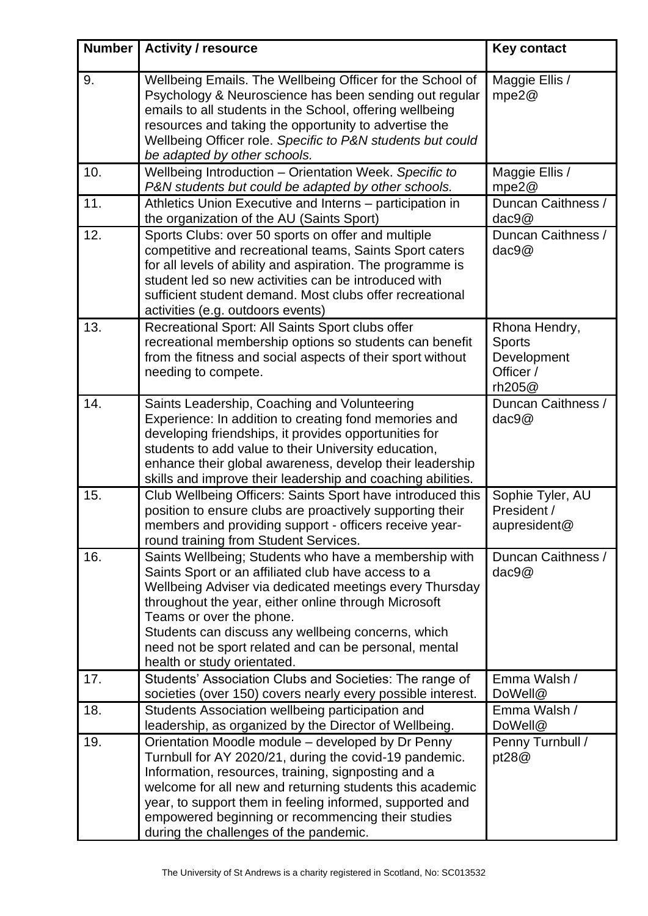| <b>Number</b> | <b>Activity / resource</b>                                                                                                                                                                                                                                                                                                                                                                                | <b>Key contact</b>                                                   |
|---------------|-----------------------------------------------------------------------------------------------------------------------------------------------------------------------------------------------------------------------------------------------------------------------------------------------------------------------------------------------------------------------------------------------------------|----------------------------------------------------------------------|
| 9.            | Wellbeing Emails. The Wellbeing Officer for the School of<br>Psychology & Neuroscience has been sending out regular<br>emails to all students in the School, offering wellbeing<br>resources and taking the opportunity to advertise the<br>Wellbeing Officer role. Specific to P&N students but could<br>be adapted by other schools.                                                                    | Maggie Ellis /<br>mpe2@                                              |
| 10.           | Wellbeing Introduction - Orientation Week. Specific to<br>P&N students but could be adapted by other schools.                                                                                                                                                                                                                                                                                             | Maggie Ellis /<br>mpe2@                                              |
| 11.           | Athletics Union Executive and Interns - participation in<br>the organization of the AU (Saints Sport)                                                                                                                                                                                                                                                                                                     | Duncan Caithness /<br>dac9@                                          |
| 12.           | Sports Clubs: over 50 sports on offer and multiple<br>competitive and recreational teams, Saints Sport caters<br>for all levels of ability and aspiration. The programme is<br>student led so new activities can be introduced with<br>sufficient student demand. Most clubs offer recreational<br>activities (e.g. outdoors events)                                                                      | Duncan Caithness /<br>dac9@                                          |
| 13.           | Recreational Sport: All Saints Sport clubs offer<br>recreational membership options so students can benefit<br>from the fitness and social aspects of their sport without<br>needing to compete.                                                                                                                                                                                                          | Rhona Hendry,<br><b>Sports</b><br>Development<br>Officer /<br>rh205@ |
| 14.           | Saints Leadership, Coaching and Volunteering<br>Experience: In addition to creating fond memories and<br>developing friendships, it provides opportunities for<br>students to add value to their University education,<br>enhance their global awareness, develop their leadership<br>skills and improve their leadership and coaching abilities.                                                         | Duncan Caithness /<br>dac9@                                          |
| 15.           | Club Wellbeing Officers: Saints Sport have introduced this<br>position to ensure clubs are proactively supporting their<br>members and providing support - officers receive year-<br>round training from Student Services.                                                                                                                                                                                | Sophie Tyler, AU<br>President /<br>aupresident@                      |
| 16.           | Saints Wellbeing; Students who have a membership with<br>Saints Sport or an affiliated club have access to a<br>Wellbeing Adviser via dedicated meetings every Thursday<br>throughout the year, either online through Microsoft<br>Teams or over the phone.<br>Students can discuss any wellbeing concerns, which<br>need not be sport related and can be personal, mental<br>health or study orientated. | Duncan Caithness /<br>dac9@                                          |
| 17.           | Students' Association Clubs and Societies: The range of<br>societies (over 150) covers nearly every possible interest.                                                                                                                                                                                                                                                                                    | Emma Walsh /<br>DoWell@                                              |
| 18.           | Students Association wellbeing participation and<br>leadership, as organized by the Director of Wellbeing.                                                                                                                                                                                                                                                                                                | Emma Walsh /<br>DoWell@                                              |
| 19.           | Orientation Moodle module – developed by Dr Penny<br>Turnbull for AY 2020/21, during the covid-19 pandemic.<br>Information, resources, training, signposting and a<br>welcome for all new and returning students this academic<br>year, to support them in feeling informed, supported and<br>empowered beginning or recommencing their studies<br>during the challenges of the pandemic.                 | Penny Turnbull /<br>pt28@                                            |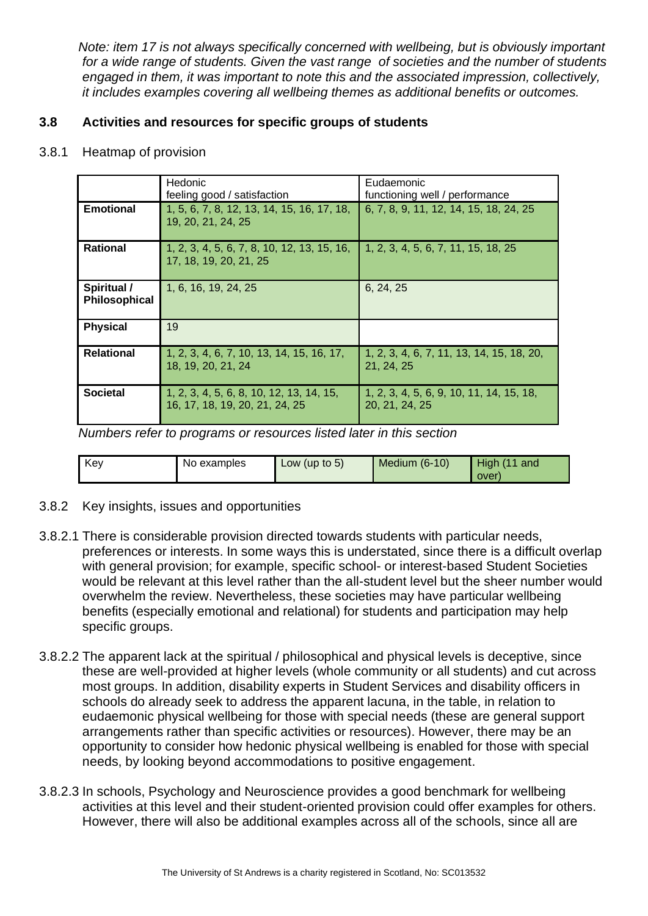*Note: item 17 is not always specifically concerned with wellbeing, but is obviously important for a wide range of students. Given the vast range of societies and the number of students engaged in them, it was important to note this and the associated impression, collectively, it includes examples covering all wellbeing themes as additional benefits or outcomes.*

# <span id="page-21-0"></span>**3.8 Activities and resources for specific groups of students**

3.8.1 Heatmap of provision

|                              | Hedonic                                                                    | Eudaemonic                                                 |
|------------------------------|----------------------------------------------------------------------------|------------------------------------------------------------|
|                              | feeling good / satisfaction                                                | functioning well / performance                             |
| <b>Emotional</b>             | 1, 5, 6, 7, 8, 12, 13, 14, 15, 16, 17, 18,<br>19, 20, 21, 24, 25           | 6, 7, 8, 9, 11, 12, 14, 15, 18, 24, 25                     |
| <b>Rational</b>              | 1, 2, 3, 4, 5, 6, 7, 8, 10, 12, 13, 15, 16,<br>17, 18, 19, 20, 21, 25      | 1, 2, 3, 4, 5, 6, 7, 11, 15, 18, 25                        |
| Spiritual /<br>Philosophical | 1, 6, 16, 19, 24, 25                                                       | 6, 24, 25                                                  |
| <b>Physical</b>              | 19                                                                         |                                                            |
| <b>Relational</b>            | 1, 2, 3, 4, 6, 7, 10, 13, 14, 15, 16, 17,<br>18, 19, 20, 21, 24            | 1, 2, 3, 4, 6, 7, 11, 13, 14, 15, 18, 20,<br>21, 24, 25    |
| <b>Societal</b>              | 1, 2, 3, 4, 5, 6, 8, 10, 12, 13, 14, 15,<br>16, 17, 18, 19, 20, 21, 24, 25 | 1, 2, 3, 4, 5, 6, 9, 10, 11, 14, 15, 18,<br>20, 21, 24, 25 |

*Numbers refer to programs or resources listed later in this section*

| Key | No examples | Low (up to $5$ ) | Medium $(6-10)$ | High (11 and |
|-----|-------------|------------------|-----------------|--------------|
|     |             |                  |                 | over)        |

- 3.8.2 Key insights, issues and opportunities
- 3.8.2.1 There is considerable provision directed towards students with particular needs, preferences or interests. In some ways this is understated, since there is a difficult overlap with general provision; for example, specific school- or interest-based Student Societies would be relevant at this level rather than the all-student level but the sheer number would overwhelm the review. Nevertheless, these societies may have particular wellbeing benefits (especially emotional and relational) for students and participation may help specific groups.
- 3.8.2.2 The apparent lack at the spiritual / philosophical and physical levels is deceptive, since these are well-provided at higher levels (whole community or all students) and cut across most groups. In addition, disability experts in Student Services and disability officers in schools do already seek to address the apparent lacuna, in the table, in relation to eudaemonic physical wellbeing for those with special needs (these are general support arrangements rather than specific activities or resources). However, there may be an opportunity to consider how hedonic physical wellbeing is enabled for those with special needs, by looking beyond accommodations to positive engagement.
- 3.8.2.3 In schools, Psychology and Neuroscience provides a good benchmark for wellbeing activities at this level and their student-oriented provision could offer examples for others. However, there will also be additional examples across all of the schools, since all are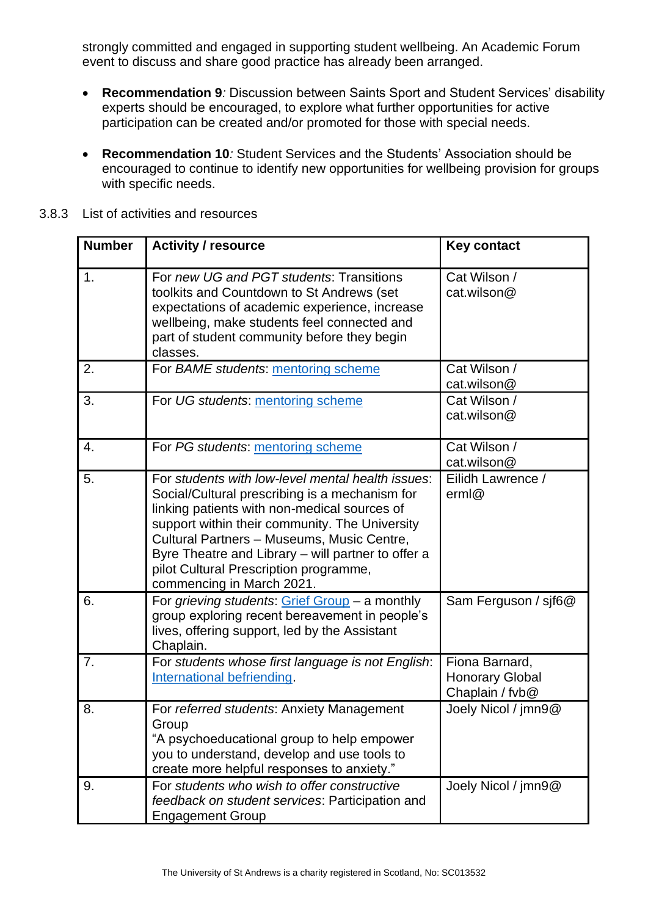strongly committed and engaged in supporting student wellbeing. An Academic Forum event to discuss and share good practice has already been arranged.

- <span id="page-22-0"></span>• **Recommendation 9***:* Discussion between Saints Sport and Student Services' disability experts should be encouraged, to explore what further opportunities for active participation can be created and/or promoted for those with special needs.
- <span id="page-22-1"></span>• **Recommendation 10***:* Student Services and the Students' Association should be encouraged to continue to identify new opportunities for wellbeing provision for groups with specific needs.

| <b>Number</b> | <b>Activity / resource</b>                                                                                                                                                                                                                                                                                                                                                       | <b>Key contact</b>                                          |
|---------------|----------------------------------------------------------------------------------------------------------------------------------------------------------------------------------------------------------------------------------------------------------------------------------------------------------------------------------------------------------------------------------|-------------------------------------------------------------|
| 1.            | For new UG and PGT students: Transitions<br>toolkits and Countdown to St Andrews (set<br>expectations of academic experience, increase<br>wellbeing, make students feel connected and<br>part of student community before they begin<br>classes.                                                                                                                                 | Cat Wilson /<br>cat.wilson@                                 |
| 2.            | For BAME students: mentoring scheme                                                                                                                                                                                                                                                                                                                                              | Cat Wilson /<br>cat.wilson@                                 |
| 3.            | For UG students: mentoring scheme                                                                                                                                                                                                                                                                                                                                                | Cat Wilson /<br>cat.wilson@                                 |
| 4.            | For PG students: mentoring scheme                                                                                                                                                                                                                                                                                                                                                | Cat Wilson /<br>cat.wilson@                                 |
| 5.            | For students with low-level mental health issues:<br>Social/Cultural prescribing is a mechanism for<br>linking patients with non-medical sources of<br>support within their community. The University<br>Cultural Partners - Museums, Music Centre,<br>Byre Theatre and Library - will partner to offer a<br>pilot Cultural Prescription programme,<br>commencing in March 2021. | Eilidh Lawrence /<br>erm@                                   |
| 6.            | For grieving students: Grief Group - a monthly<br>group exploring recent bereavement in people's<br>lives, offering support, led by the Assistant<br>Chaplain.                                                                                                                                                                                                                   | Sam Ferguson / sjf6@                                        |
| 7.            | For students whose first language is not English:<br>International befriending.                                                                                                                                                                                                                                                                                                  | Fiona Barnard,<br><b>Honorary Global</b><br>Chaplain / fvb@ |
| 8.            | For referred students: Anxiety Management<br>Group<br>"A psychoeducational group to help empower<br>you to understand, develop and use tools to<br>create more helpful responses to anxiety."                                                                                                                                                                                    | Joely Nicol / jmn9@                                         |
| 9.            | For students who wish to offer constructive<br>feedback on student services: Participation and<br><b>Engagement Group</b>                                                                                                                                                                                                                                                        | Joely Nicol / jmn9@                                         |

3.8.3 List of activities and resources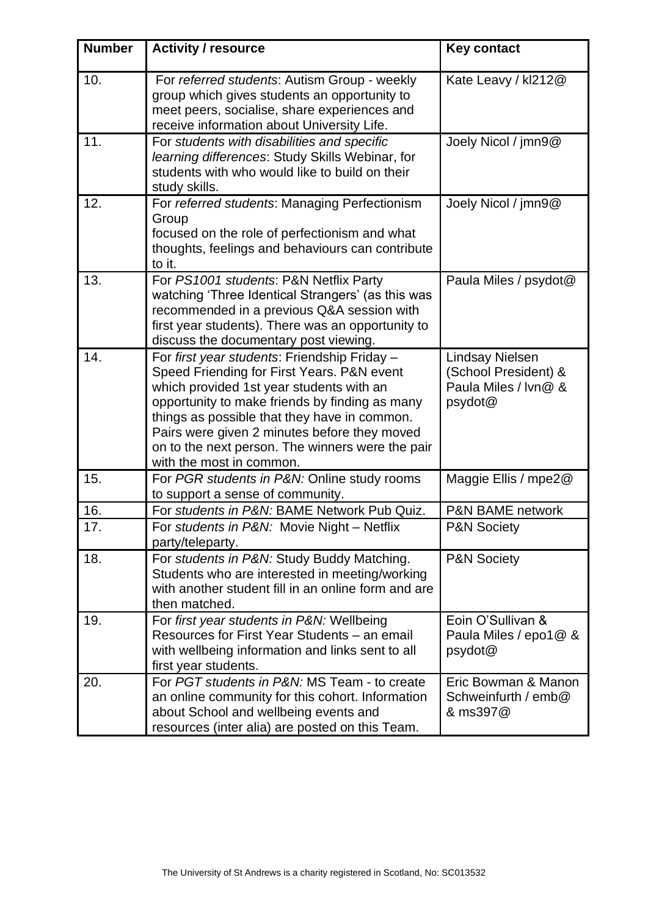| <b>Number</b> | <b>Activity / resource</b>                                                                                                                                                                                                                                                                                                                                               | <b>Key contact</b>                                                                |
|---------------|--------------------------------------------------------------------------------------------------------------------------------------------------------------------------------------------------------------------------------------------------------------------------------------------------------------------------------------------------------------------------|-----------------------------------------------------------------------------------|
| 10.           | For referred students: Autism Group - weekly<br>group which gives students an opportunity to<br>meet peers, socialise, share experiences and<br>receive information about University Life.                                                                                                                                                                               | Kate Leavy / kl212@                                                               |
| 11.           | For students with disabilities and specific<br>learning differences: Study Skills Webinar, for<br>students with who would like to build on their<br>study skills.                                                                                                                                                                                                        | Joely Nicol / jmn9@                                                               |
| 12.           | For referred students: Managing Perfectionism<br>Group<br>focused on the role of perfectionism and what<br>thoughts, feelings and behaviours can contribute<br>to it.                                                                                                                                                                                                    | Joely Nicol / jmn9@                                                               |
| 13.           | For PS1001 students: P&N Netflix Party<br>watching 'Three Identical Strangers' (as this was<br>recommended in a previous Q&A session with<br>first year students). There was an opportunity to<br>discuss the documentary post viewing.                                                                                                                                  | Paula Miles / psydot@                                                             |
| 14.           | For first year students: Friendship Friday -<br>Speed Friending for First Years. P&N event<br>which provided 1st year students with an<br>opportunity to make friends by finding as many<br>things as possible that they have in common.<br>Pairs were given 2 minutes before they moved<br>on to the next person. The winners were the pair<br>with the most in common. | <b>Lindsay Nielsen</b><br>(School President) &<br>Paula Miles / Ivn@ &<br>psydot@ |
| 15.           | For PGR students in P&N: Online study rooms<br>to support a sense of community.                                                                                                                                                                                                                                                                                          | Maggie Ellis / mpe2@                                                              |
| 16.<br>17.    | For students in P&N: BAME Network Pub Quiz.<br>For students in P&N: Movie Night - Netflix<br>party/teleparty.                                                                                                                                                                                                                                                            | <b>P&amp;N BAME network</b><br>P&N Society                                        |
| 18.           | For students in P&N: Study Buddy Matching.<br>Students who are interested in meeting/working<br>with another student fill in an online form and are<br>then matched.                                                                                                                                                                                                     | <b>P&amp;N Society</b>                                                            |
| 19.           | For first year students in P&N: Wellbeing<br>Resources for First Year Students - an email<br>with wellbeing information and links sent to all<br>first year students.                                                                                                                                                                                                    | Eoin O'Sullivan &<br>Paula Miles / epo1@ &<br>psydot@                             |
| 20.           | For PGT students in P&N: MS Team - to create<br>an online community for this cohort. Information<br>about School and wellbeing events and<br>resources (inter alia) are posted on this Team.                                                                                                                                                                             | Eric Bowman & Manon<br>Schweinfurth / emb@<br>& ms397@                            |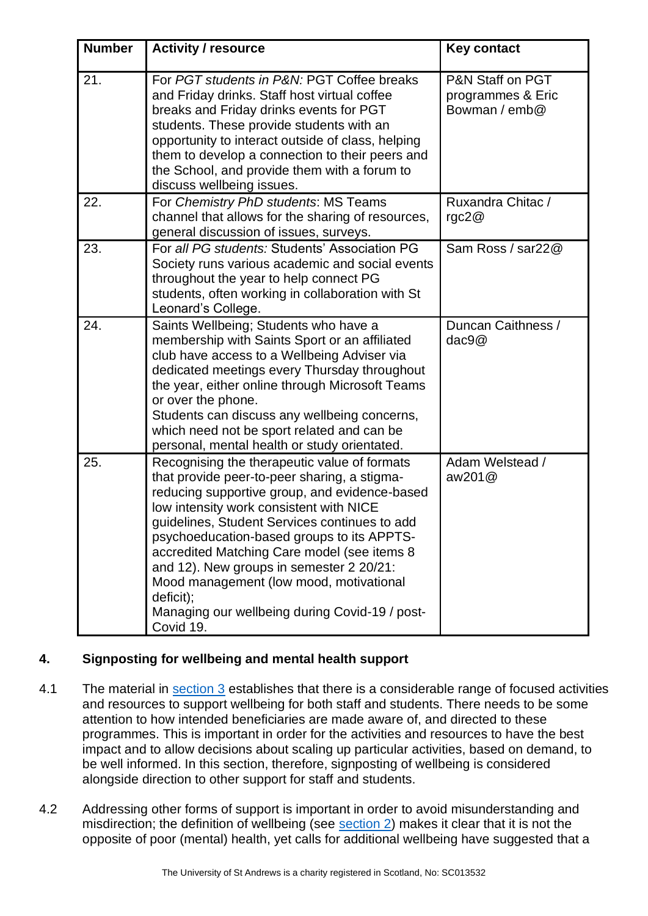| <b>Number</b> | <b>Activity / resource</b>                                                                                                                                                                                                                                                                                                                                                                                                                                                                                | <b>Key contact</b>                                     |
|---------------|-----------------------------------------------------------------------------------------------------------------------------------------------------------------------------------------------------------------------------------------------------------------------------------------------------------------------------------------------------------------------------------------------------------------------------------------------------------------------------------------------------------|--------------------------------------------------------|
| 21.           | For PGT students in P&N: PGT Coffee breaks<br>and Friday drinks. Staff host virtual coffee<br>breaks and Friday drinks events for PGT<br>students. These provide students with an<br>opportunity to interact outside of class, helping<br>them to develop a connection to their peers and<br>the School, and provide them with a forum to<br>discuss wellbeing issues.                                                                                                                                    | P&N Staff on PGT<br>programmes & Eric<br>Bowman / emb@ |
| 22.           | For Chemistry PhD students: MS Teams<br>channel that allows for the sharing of resources,<br>general discussion of issues, surveys.                                                                                                                                                                                                                                                                                                                                                                       | Ruxandra Chitac /<br>rgc $2@$                          |
| 23.           | For all PG students: Students' Association PG<br>Society runs various academic and social events<br>throughout the year to help connect PG<br>students, often working in collaboration with St<br>Leonard's College.                                                                                                                                                                                                                                                                                      | Sam Ross / sar22@                                      |
| 24.           | Saints Wellbeing; Students who have a<br>membership with Saints Sport or an affiliated<br>club have access to a Wellbeing Adviser via<br>dedicated meetings every Thursday throughout<br>the year, either online through Microsoft Teams<br>or over the phone.<br>Students can discuss any wellbeing concerns,<br>which need not be sport related and can be<br>personal, mental health or study orientated.                                                                                              | Duncan Caithness /<br>dac9@                            |
| 25.           | Recognising the therapeutic value of formats<br>that provide peer-to-peer sharing, a stigma-<br>reducing supportive group, and evidence-based<br>low intensity work consistent with NICE<br>guidelines, Student Services continues to add<br>psychoeducation-based groups to its APPTS-<br>accredited Matching Care model (see items 8<br>and 12). New groups in semester 2 20/21:<br>Mood management (low mood, motivational<br>deficit);<br>Managing our wellbeing during Covid-19 / post-<br>Covid 19. | Adam Welstead /<br>aw $201@$                           |

## <span id="page-24-0"></span>**4. Signposting for wellbeing and mental health support**

- 4.1 The material in [section 3](#page-6-1) establishes that there is a considerable range of focused activities and resources to support wellbeing for both staff and students. There needs to be some attention to how intended beneficiaries are made aware of, and directed to these programmes. This is important in order for the activities and resources to have the best impact and to allow decisions about scaling up particular activities, based on demand, to be well informed. In this section, therefore, signposting of wellbeing is considered alongside direction to other support for staff and students.
- 4.2 Addressing other forms of support is important in order to avoid misunderstanding and misdirection; the definition of wellbeing (see [section 2\)](#page-4-0) makes it clear that it is not the opposite of poor (mental) health, yet calls for additional wellbeing have suggested that a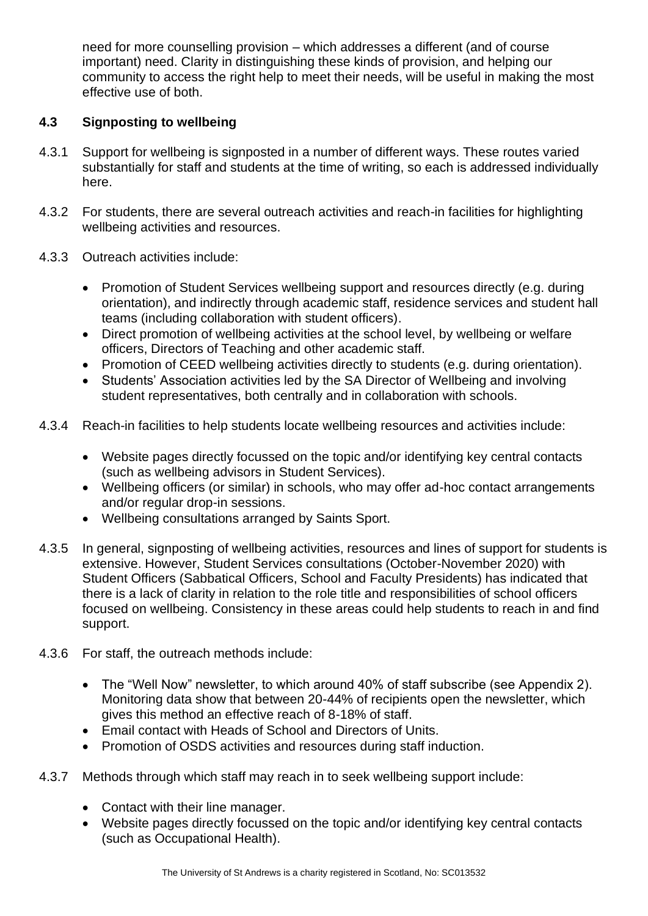need for more counselling provision – which addresses a different (and of course important) need. Clarity in distinguishing these kinds of provision, and helping our community to access the right help to meet their needs, will be useful in making the most effective use of both.

## <span id="page-25-0"></span>**4.3 Signposting to wellbeing**

- 4.3.1 Support for wellbeing is signposted in a number of different ways. These routes varied substantially for staff and students at the time of writing, so each is addressed individually here.
- 4.3.2 For students, there are several outreach activities and reach-in facilities for highlighting wellbeing activities and resources.
- 4.3.3 Outreach activities include:
	- Promotion of Student Services wellbeing support and resources directly (e.g. during orientation), and indirectly through academic staff, residence services and student hall teams (including collaboration with student officers).
	- Direct promotion of wellbeing activities at the school level, by wellbeing or welfare officers, Directors of Teaching and other academic staff.
	- Promotion of CEED wellbeing activities directly to students (e.g. during orientation).
	- Students' Association activities led by the SA Director of Wellbeing and involving student representatives, both centrally and in collaboration with schools.
- 4.3.4 Reach-in facilities to help students locate wellbeing resources and activities include:
	- Website pages directly focussed on the topic and/or identifying key central contacts (such as wellbeing advisors in Student Services).
	- Wellbeing officers (or similar) in schools, who may offer ad-hoc contact arrangements and/or regular drop-in sessions.
	- Wellbeing consultations arranged by Saints Sport.
- 4.3.5 In general, signposting of wellbeing activities, resources and lines of support for students is extensive. However, Student Services consultations (October-November 2020) with Student Officers (Sabbatical Officers, School and Faculty Presidents) has indicated that there is a lack of clarity in relation to the role title and responsibilities of school officers focused on wellbeing. Consistency in these areas could help students to reach in and find support.
- 4.3.6 For staff, the outreach methods include:
	- The "Well Now" newsletter, to which around 40% of staff subscribe (see Appendix 2). Monitoring data show that between 20-44% of recipients open the newsletter, which gives this method an effective reach of 8-18% of staff.
	- Email contact with Heads of School and Directors of Units.
	- Promotion of OSDS activities and resources during staff induction.
- 4.3.7 Methods through which staff may reach in to seek wellbeing support include:
	- Contact with their line manager.
	- Website pages directly focussed on the topic and/or identifying key central contacts (such as Occupational Health).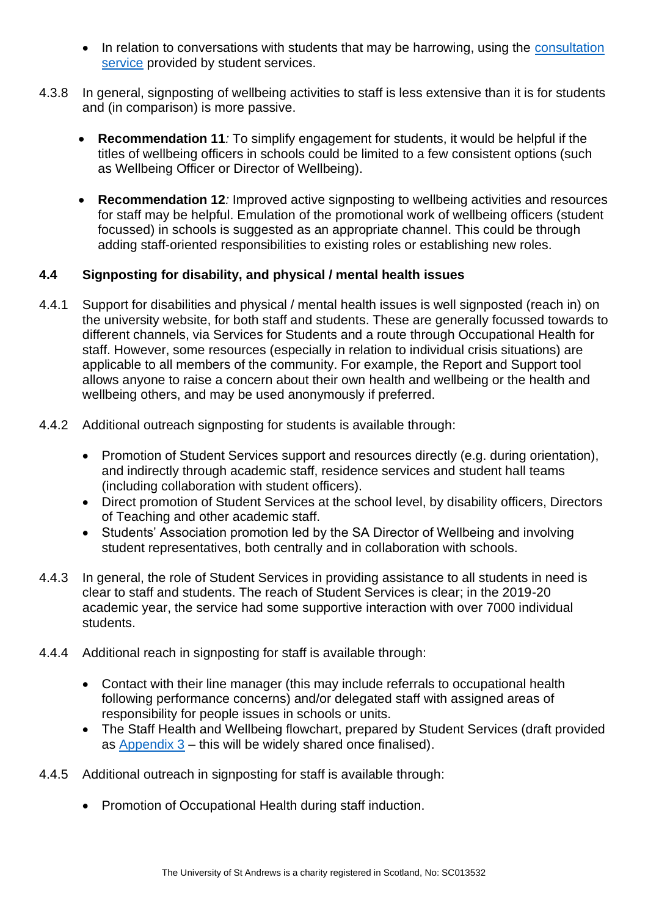- In relation to conversations with students that may be harrowing, using the consultation [service](https://www.st-andrews.ac.uk/staff/wellbeing/community/support/consultation-service/) provided by student services.
- <span id="page-26-1"></span>4.3.8 In general, signposting of wellbeing activities to staff is less extensive than it is for students and (in comparison) is more passive.
	- **Recommendation 11***:* To simplify engagement for students, it would be helpful if the titles of wellbeing officers in schools could be limited to a few consistent options (such as Wellbeing Officer or Director of Wellbeing).
	- **Recommendation 12***:* Improved active signposting to wellbeing activities and resources for staff may be helpful. Emulation of the promotional work of wellbeing officers (student focussed) in schools is suggested as an appropriate channel. This could be through adding staff-oriented responsibilities to existing roles or establishing new roles.

# <span id="page-26-2"></span><span id="page-26-0"></span>**4.4 Signposting for disability, and physical / mental health issues**

- 4.4.1 Support for disabilities and physical / mental health issues is well signposted (reach in) on the university website, for both staff and students. These are generally focussed towards to different channels, via Services for Students and a route through Occupational Health for staff. However, some resources (especially in relation to individual crisis situations) are applicable to all members of the community. For example, the Report and Support tool allows anyone to raise a concern about their own health and wellbeing or the health and wellbeing others, and may be used anonymously if preferred.
- 4.4.2 Additional outreach signposting for students is available through:
	- Promotion of Student Services support and resources directly (e.g. during orientation), and indirectly through academic staff, residence services and student hall teams (including collaboration with student officers).
	- Direct promotion of Student Services at the school level, by disability officers, Directors of Teaching and other academic staff.
	- Students' Association promotion led by the SA Director of Wellbeing and involving student representatives, both centrally and in collaboration with schools.
- 4.4.3 In general, the role of Student Services in providing assistance to all students in need is clear to staff and students. The reach of Student Services is clear; in the 2019-20 academic year, the service had some supportive interaction with over 7000 individual students.
- 4.4.4 Additional reach in signposting for staff is available through:
	- Contact with their line manager (this may include referrals to occupational health following performance concerns) and/or delegated staff with assigned areas of responsibility for people issues in schools or units.
	- The Staff Health and Wellbeing flowchart, prepared by Student Services (draft provided as [Appendix 3](#page-39-0) – this will be widely shared once finalised).
- 4.4.5 Additional outreach in signposting for staff is available through:
	- Promotion of Occupational Health during staff induction.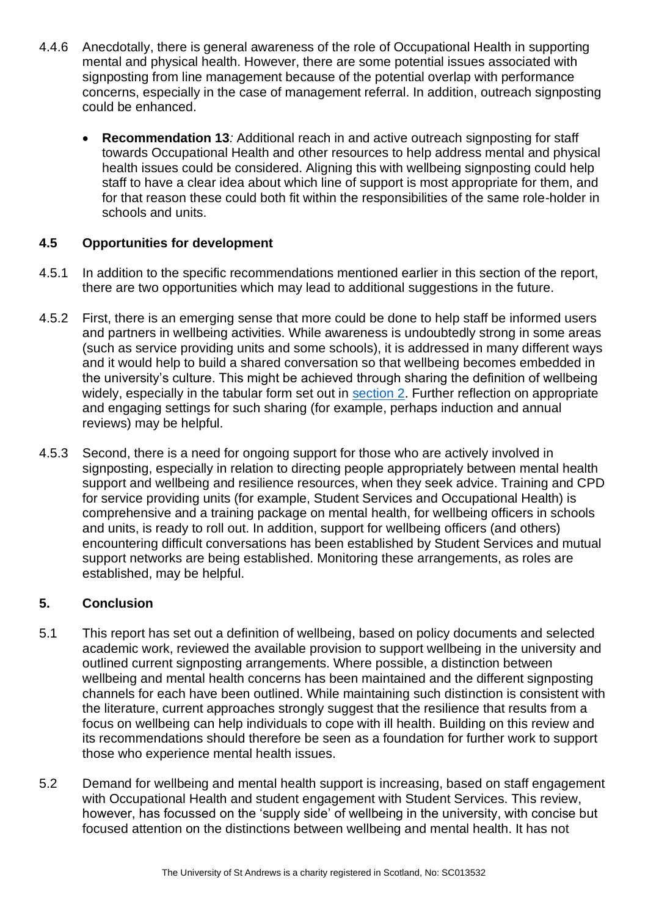- <span id="page-27-2"></span>4.4.6 Anecdotally, there is general awareness of the role of Occupational Health in supporting mental and physical health. However, there are some potential issues associated with signposting from line management because of the potential overlap with performance concerns, especially in the case of management referral. In addition, outreach signposting could be enhanced.
	- **Recommendation 13***:* Additional reach in and active outreach signposting for staff towards Occupational Health and other resources to help address mental and physical health issues could be considered. Aligning this with wellbeing signposting could help staff to have a clear idea about which line of support is most appropriate for them, and for that reason these could both fit within the responsibilities of the same role-holder in schools and units.

## <span id="page-27-0"></span>**4.5 Opportunities for development**

- 4.5.1 In addition to the specific recommendations mentioned earlier in this section of the report, there are two opportunities which may lead to additional suggestions in the future.
- 4.5.2 First, there is an emerging sense that more could be done to help staff be informed users and partners in wellbeing activities. While awareness is undoubtedly strong in some areas (such as service providing units and some schools), it is addressed in many different ways and it would help to build a shared conversation so that wellbeing becomes embedded in the university's culture. This might be achieved through sharing the definition of wellbeing widely, especially in the tabular form set out in [section 2.](#page-4-0) Further reflection on appropriate and engaging settings for such sharing (for example, perhaps induction and annual reviews) may be helpful.
- 4.5.3 Second, there is a need for ongoing support for those who are actively involved in signposting, especially in relation to directing people appropriately between mental health support and wellbeing and resilience resources, when they seek advice. Training and CPD for service providing units (for example, Student Services and Occupational Health) is comprehensive and a training package on mental health, for wellbeing officers in schools and units, is ready to roll out. In addition, support for wellbeing officers (and others) encountering difficult conversations has been established by Student Services and mutual support networks are being established. Monitoring these arrangements, as roles are established, may be helpful.

## <span id="page-27-1"></span>**5. Conclusion**

- 5.1 This report has set out a definition of wellbeing, based on policy documents and selected academic work, reviewed the available provision to support wellbeing in the university and outlined current signposting arrangements. Where possible, a distinction between wellbeing and mental health concerns has been maintained and the different signposting channels for each have been outlined. While maintaining such distinction is consistent with the literature, current approaches strongly suggest that the resilience that results from a focus on wellbeing can help individuals to cope with ill health. Building on this review and its recommendations should therefore be seen as a foundation for further work to support those who experience mental health issues.
- 5.2 Demand for wellbeing and mental health support is increasing, based on staff engagement with Occupational Health and student engagement with Student Services. This review, however, has focussed on the 'supply side' of wellbeing in the university, with concise but focused attention on the distinctions between wellbeing and mental health. It has not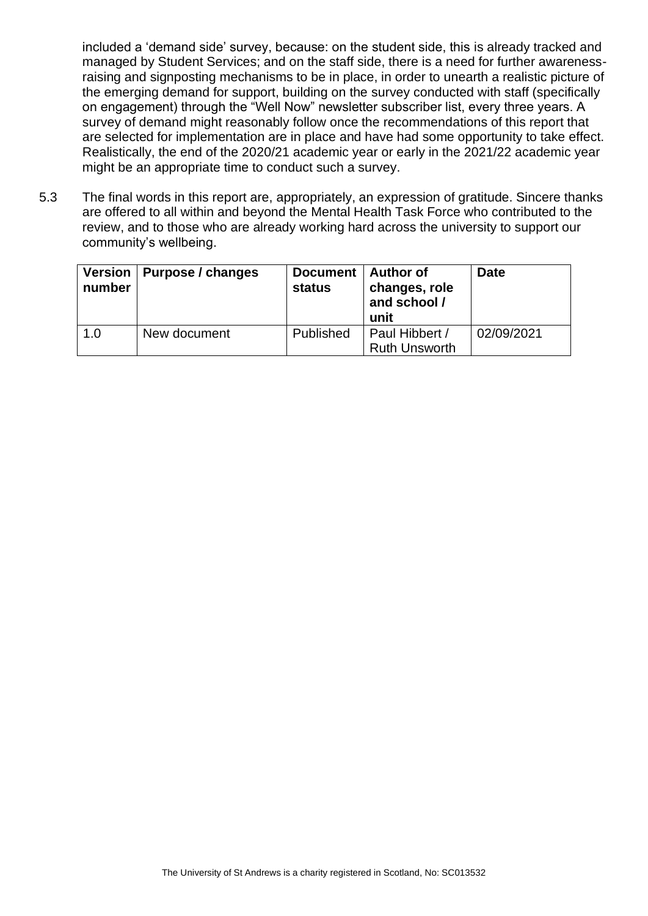included a 'demand side' survey, because: on the student side, this is already tracked and managed by Student Services; and on the staff side, there is a need for further awarenessraising and signposting mechanisms to be in place, in order to unearth a realistic picture of the emerging demand for support, building on the survey conducted with staff (specifically on engagement) through the "Well Now" newsletter subscriber list, every three years. A survey of demand might reasonably follow once the recommendations of this report that are selected for implementation are in place and have had some opportunity to take effect. Realistically, the end of the 2020/21 academic year or early in the 2021/22 academic year might be an appropriate time to conduct such a survey.

5.3 The final words in this report are, appropriately, an expression of gratitude. Sincere thanks are offered to all within and beyond the Mental Health Task Force who contributed to the review, and to those who are already working hard across the university to support our community's wellbeing.

<span id="page-28-0"></span>

| number | Version   Purpose / changes | Document   Author of<br><b>status</b> | changes, role<br>and school /<br>unit  | <b>Date</b> |
|--------|-----------------------------|---------------------------------------|----------------------------------------|-------------|
| 1.0    | New document                | Published                             | Paul Hibbert /<br><b>Ruth Unsworth</b> | 02/09/2021  |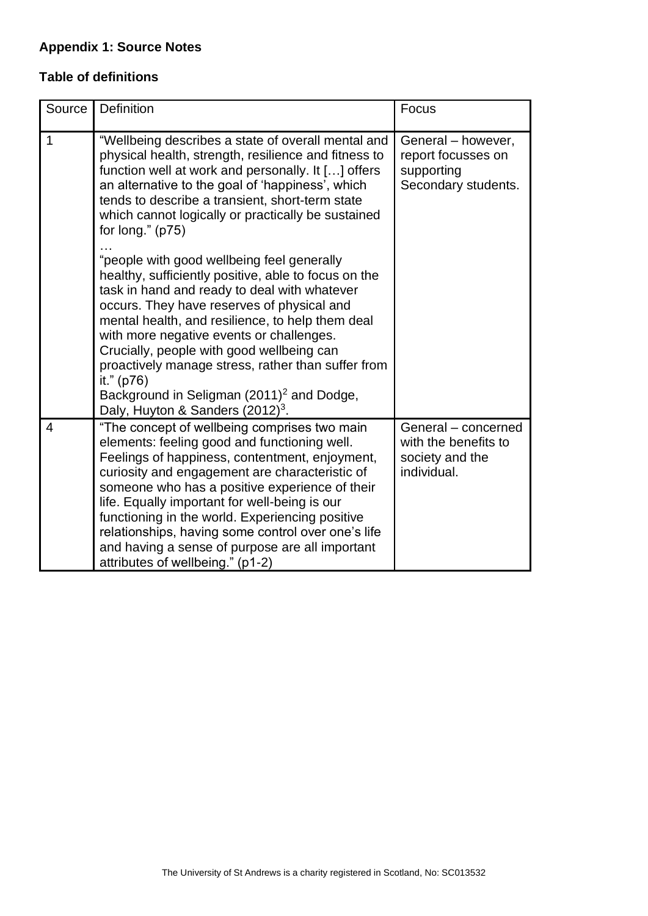# **Appendix 1: Source Notes**

# <span id="page-29-0"></span>**Table of definitions**

| Source         | Definition                                                                                                                                                                                                                                                                                                                                                                                                                                                                                                                 | Focus                                                                         |
|----------------|----------------------------------------------------------------------------------------------------------------------------------------------------------------------------------------------------------------------------------------------------------------------------------------------------------------------------------------------------------------------------------------------------------------------------------------------------------------------------------------------------------------------------|-------------------------------------------------------------------------------|
| $\mathbf{1}$   | "Wellbeing describes a state of overall mental and<br>physical health, strength, resilience and fitness to<br>function well at work and personally. It [] offers<br>an alternative to the goal of 'happiness', which<br>tends to describe a transient, short-term state<br>which cannot logically or practically be sustained<br>for long." $(p75)$                                                                                                                                                                        | General - however,<br>report focusses on<br>supporting<br>Secondary students. |
|                | "people with good wellbeing feel generally<br>healthy, sufficiently positive, able to focus on the<br>task in hand and ready to deal with whatever<br>occurs. They have reserves of physical and<br>mental health, and resilience, to help them deal<br>with more negative events or challenges.<br>Crucially, people with good wellbeing can<br>proactively manage stress, rather than suffer from<br>it." (p76)<br>Background in Seligman (2011) <sup>2</sup> and Dodge,<br>Daly, Huyton & Sanders (2012) <sup>3</sup> . |                                                                               |
| $\overline{4}$ | "The concept of wellbeing comprises two main<br>elements: feeling good and functioning well.<br>Feelings of happiness, contentment, enjoyment,<br>curiosity and engagement are characteristic of<br>someone who has a positive experience of their<br>life. Equally important for well-being is our<br>functioning in the world. Experiencing positive<br>relationships, having some control over one's life<br>and having a sense of purpose are all important<br>attributes of wellbeing." (p1-2)                        | General - concerned<br>with the benefits to<br>society and the<br>individual. |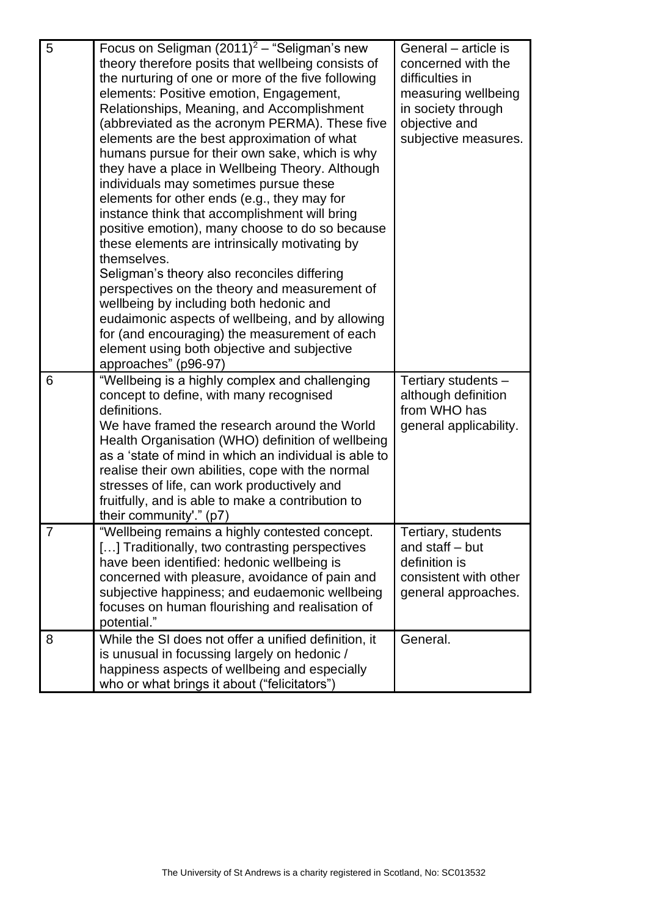| 5 | Focus on Seligman $(2011)^2$ – "Seligman's new<br>theory therefore posits that wellbeing consists of<br>the nurturing of one or more of the five following<br>elements: Positive emotion, Engagement,<br>Relationships, Meaning, and Accomplishment<br>(abbreviated as the acronym PERMA). These five<br>elements are the best approximation of what<br>humans pursue for their own sake, which is why<br>they have a place in Wellbeing Theory. Although<br>individuals may sometimes pursue these<br>elements for other ends (e.g., they may for<br>instance think that accomplishment will bring<br>positive emotion), many choose to do so because<br>these elements are intrinsically motivating by<br>themselves.<br>Seligman's theory also reconciles differing<br>perspectives on the theory and measurement of<br>wellbeing by including both hedonic and<br>eudaimonic aspects of wellbeing, and by allowing<br>for (and encouraging) the measurement of each<br>element using both objective and subjective<br>approaches" (p96-97) | General – article is<br>concerned with the<br>difficulties in<br>measuring wellbeing<br>in society through<br>objective and<br>subjective measures. |
|---|------------------------------------------------------------------------------------------------------------------------------------------------------------------------------------------------------------------------------------------------------------------------------------------------------------------------------------------------------------------------------------------------------------------------------------------------------------------------------------------------------------------------------------------------------------------------------------------------------------------------------------------------------------------------------------------------------------------------------------------------------------------------------------------------------------------------------------------------------------------------------------------------------------------------------------------------------------------------------------------------------------------------------------------------|-----------------------------------------------------------------------------------------------------------------------------------------------------|
| 6 | "Wellbeing is a highly complex and challenging<br>concept to define, with many recognised<br>definitions.<br>We have framed the research around the World<br>Health Organisation (WHO) definition of wellbeing<br>as a 'state of mind in which an individual is able to<br>realise their own abilities, cope with the normal<br>stresses of life, can work productively and<br>fruitfully, and is able to make a contribution to<br>their community'." (p7)                                                                                                                                                                                                                                                                                                                                                                                                                                                                                                                                                                                    | Tertiary students -<br>although definition<br>from WHO has<br>general applicability.                                                                |
|   | "Wellbeing remains a highly contested concept.<br>[] Traditionally, two contrasting perspectives<br>have been identified: hedonic wellbeing is<br>concerned with pleasure, avoidance of pain and<br>subjective happiness; and eudaemonic wellbeing<br>focuses on human flourishing and realisation of<br>potential."                                                                                                                                                                                                                                                                                                                                                                                                                                                                                                                                                                                                                                                                                                                           | Tertiary, students<br>and staff - but<br>definition is<br>consistent with other<br>general approaches.                                              |
| 8 | While the SI does not offer a unified definition, it<br>is unusual in focussing largely on hedonic /<br>happiness aspects of wellbeing and especially<br>who or what brings it about ("felicitators")                                                                                                                                                                                                                                                                                                                                                                                                                                                                                                                                                                                                                                                                                                                                                                                                                                          | General.                                                                                                                                            |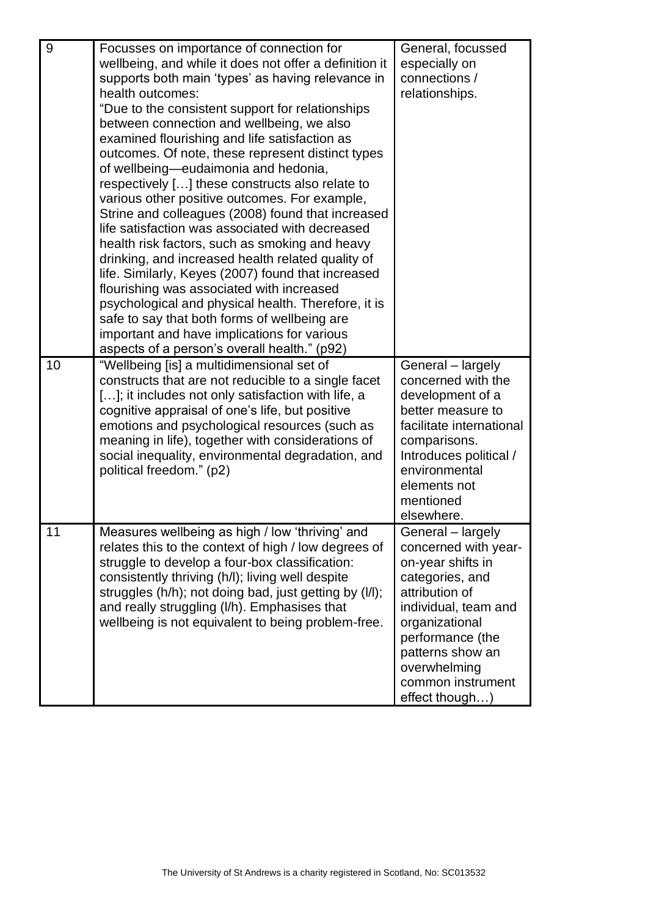| 9  | Focusses on importance of connection for<br>wellbeing, and while it does not offer a definition it<br>supports both main 'types' as having relevance in<br>health outcomes:<br>"Due to the consistent support for relationships"<br>between connection and wellbeing, we also<br>examined flourishing and life satisfaction as<br>outcomes. Of note, these represent distinct types<br>of wellbeing—eudaimonia and hedonia,<br>respectively [] these constructs also relate to<br>various other positive outcomes. For example,<br>Strine and colleagues (2008) found that increased<br>life satisfaction was associated with decreased<br>health risk factors, such as smoking and heavy<br>drinking, and increased health related quality of<br>life. Similarly, Keyes (2007) found that increased<br>flourishing was associated with increased<br>psychological and physical health. Therefore, it is<br>safe to say that both forms of wellbeing are<br>important and have implications for various<br>aspects of a person's overall health." (p92) | General, focussed<br>especially on<br>connections /<br>relationships.                                                                                                                                                                        |
|----|---------------------------------------------------------------------------------------------------------------------------------------------------------------------------------------------------------------------------------------------------------------------------------------------------------------------------------------------------------------------------------------------------------------------------------------------------------------------------------------------------------------------------------------------------------------------------------------------------------------------------------------------------------------------------------------------------------------------------------------------------------------------------------------------------------------------------------------------------------------------------------------------------------------------------------------------------------------------------------------------------------------------------------------------------------|----------------------------------------------------------------------------------------------------------------------------------------------------------------------------------------------------------------------------------------------|
| 10 | "Wellbeing [is] a multidimensional set of<br>constructs that are not reducible to a single facet<br>[]; it includes not only satisfaction with life, a<br>cognitive appraisal of one's life, but positive<br>emotions and psychological resources (such as<br>meaning in life), together with considerations of<br>social inequality, environmental degradation, and<br>political freedom." (p2)                                                                                                                                                                                                                                                                                                                                                                                                                                                                                                                                                                                                                                                        | General - largely<br>concerned with the<br>development of a<br>better measure to<br>facilitate international<br>comparisons.<br>Introduces political /<br>environmental<br>elements not<br>mentioned<br>elsewhere.                           |
| 11 | Measures wellbeing as high / low 'thriving' and<br>relates this to the context of high / low degrees of<br>struggle to develop a four-box classification:<br>consistently thriving (h/l); living well despite<br>struggles (h/h); not doing bad, just getting by (l/l);<br>and really struggling (I/h). Emphasises that<br>wellbeing is not equivalent to being problem-free.                                                                                                                                                                                                                                                                                                                                                                                                                                                                                                                                                                                                                                                                           | General - largely<br>concerned with year-<br>on-year shifts in<br>categories, and<br>attribution of<br>individual, team and<br>organizational<br>performance (the<br>patterns show an<br>overwhelming<br>common instrument<br>effect though) |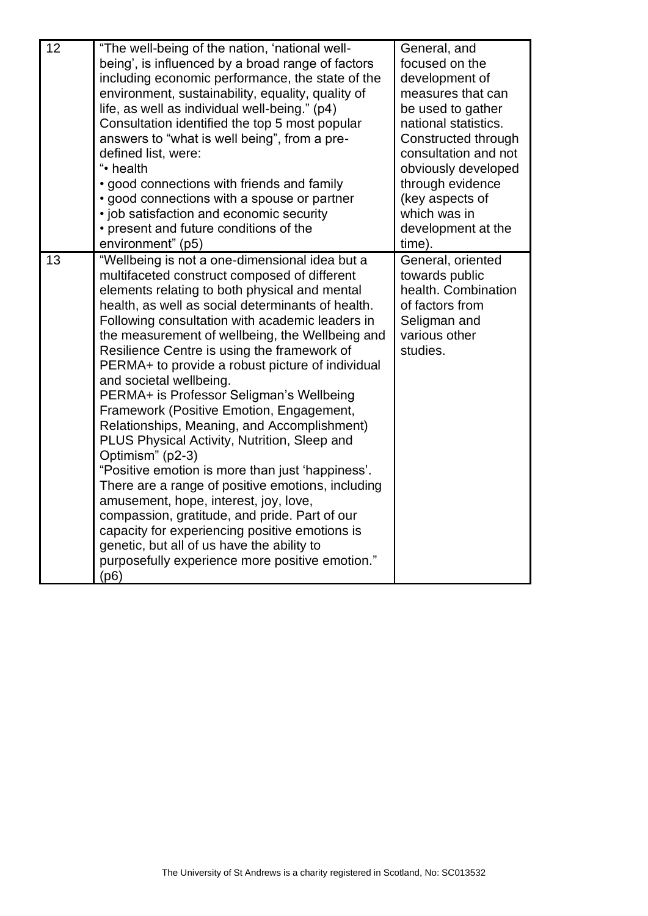| 12 | "The well-being of the nation, 'national well-<br>being', is influenced by a broad range of factors<br>including economic performance, the state of the<br>environment, sustainability, equality, quality of<br>life, as well as individual well-being." (p4)<br>Consultation identified the top 5 most popular<br>answers to "what is well being", from a pre-<br>defined list, were:<br>"• health<br>• good connections with friends and family                                                                                                                                                                                                                                                                                                                                                                                                                                                                                                                                                                 | General, and<br>focused on the<br>development of<br>measures that can<br>be used to gather<br>national statistics.<br>Constructed through<br>consultation and not<br>obviously developed<br>through evidence |
|----|-------------------------------------------------------------------------------------------------------------------------------------------------------------------------------------------------------------------------------------------------------------------------------------------------------------------------------------------------------------------------------------------------------------------------------------------------------------------------------------------------------------------------------------------------------------------------------------------------------------------------------------------------------------------------------------------------------------------------------------------------------------------------------------------------------------------------------------------------------------------------------------------------------------------------------------------------------------------------------------------------------------------|--------------------------------------------------------------------------------------------------------------------------------------------------------------------------------------------------------------|
|    | • good connections with a spouse or partner<br>• job satisfaction and economic security<br>• present and future conditions of the                                                                                                                                                                                                                                                                                                                                                                                                                                                                                                                                                                                                                                                                                                                                                                                                                                                                                 | (key aspects of<br>which was in<br>development at the                                                                                                                                                        |
|    | environment" (p5)                                                                                                                                                                                                                                                                                                                                                                                                                                                                                                                                                                                                                                                                                                                                                                                                                                                                                                                                                                                                 | time).                                                                                                                                                                                                       |
| 13 | "Wellbeing is not a one-dimensional idea but a<br>multifaceted construct composed of different<br>elements relating to both physical and mental<br>health, as well as social determinants of health.<br>Following consultation with academic leaders in<br>the measurement of wellbeing, the Wellbeing and<br>Resilience Centre is using the framework of<br>PERMA+ to provide a robust picture of individual<br>and societal wellbeing.<br>PERMA+ is Professor Seligman's Wellbeing<br>Framework (Positive Emotion, Engagement,<br>Relationships, Meaning, and Accomplishment)<br>PLUS Physical Activity, Nutrition, Sleep and<br>Optimism" (p2-3)<br>"Positive emotion is more than just 'happiness'.<br>There are a range of positive emotions, including<br>amusement, hope, interest, joy, love,<br>compassion, gratitude, and pride. Part of our<br>capacity for experiencing positive emotions is<br>genetic, but all of us have the ability to<br>purposefully experience more positive emotion."<br>(p6) | General, oriented<br>towards public<br>health. Combination<br>of factors from<br>Seligman and<br>various other<br>studies.                                                                                   |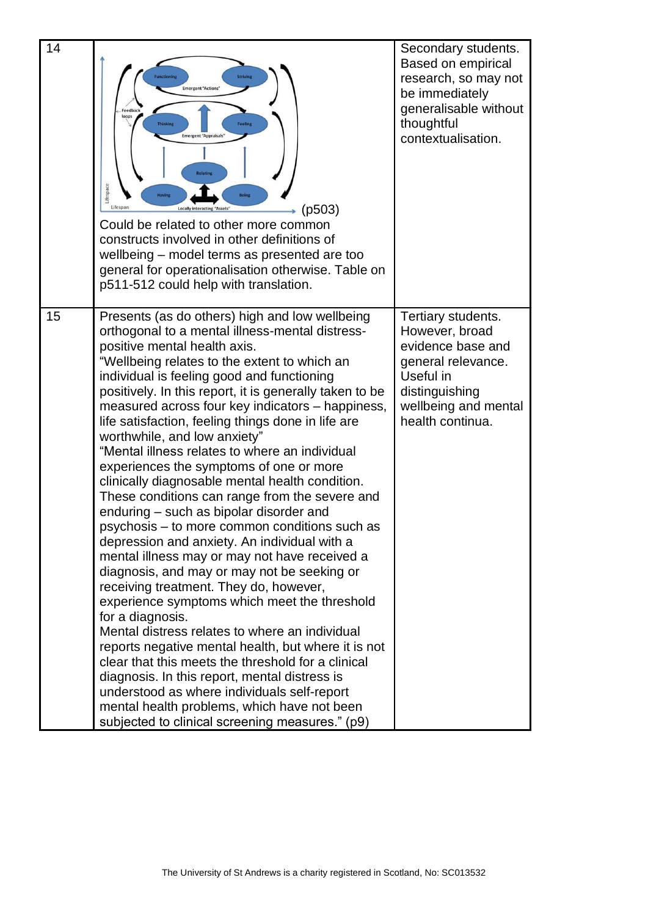| 14 | <b>Functioning</b><br><b>Striving</b><br><b>Emergent "Actions"</b><br>Feedbac<br>loops<br><b>Feeling</b><br><b>Thinking</b><br><b>Emergent "Appraisals"</b><br><b>Relating</b><br>Lifespace<br><b>Having</b><br><b>Being</b><br>Lifespan<br>(p503)<br><b>Locally interacting "Assets"</b><br>Could be related to other more common<br>constructs involved in other definitions of<br>wellbeing - model terms as presented are too<br>general for operationalisation otherwise. Table on<br>p511-512 could help with translation.                                                                                                                                                                                                                                                                                                                                                                                                                                                                                                                                                                                                                                                                                                                                                                                                                                  | Secondary students.<br>Based on empirical<br>research, so may not<br>be immediately<br>generalisable without<br>thoughtful<br>contextualisation.           |
|----|-------------------------------------------------------------------------------------------------------------------------------------------------------------------------------------------------------------------------------------------------------------------------------------------------------------------------------------------------------------------------------------------------------------------------------------------------------------------------------------------------------------------------------------------------------------------------------------------------------------------------------------------------------------------------------------------------------------------------------------------------------------------------------------------------------------------------------------------------------------------------------------------------------------------------------------------------------------------------------------------------------------------------------------------------------------------------------------------------------------------------------------------------------------------------------------------------------------------------------------------------------------------------------------------------------------------------------------------------------------------|------------------------------------------------------------------------------------------------------------------------------------------------------------|
| 15 | Presents (as do others) high and low wellbeing<br>orthogonal to a mental illness-mental distress-<br>positive mental health axis.<br>"Wellbeing relates to the extent to which an<br>individual is feeling good and functioning<br>positively. In this report, it is generally taken to be<br>measured across four key indicators - happiness,<br>life satisfaction, feeling things done in life are<br>worthwhile, and low anxiety"<br>"Mental illness relates to where an individual<br>experiences the symptoms of one or more<br>clinically diagnosable mental health condition.<br>These conditions can range from the severe and<br>enduring – such as bipolar disorder and<br>psychosis – to more common conditions such as<br>depression and anxiety. An individual with a<br>mental illness may or may not have received a<br>diagnosis, and may or may not be seeking or<br>receiving treatment. They do, however,<br>experience symptoms which meet the threshold<br>for a diagnosis.<br>Mental distress relates to where an individual<br>reports negative mental health, but where it is not<br>clear that this meets the threshold for a clinical<br>diagnosis. In this report, mental distress is<br>understood as where individuals self-report<br>mental health problems, which have not been<br>subjected to clinical screening measures." (p9) | Tertiary students.<br>However, broad<br>evidence base and<br>general relevance.<br>Useful in<br>distinguishing<br>wellbeing and mental<br>health continua. |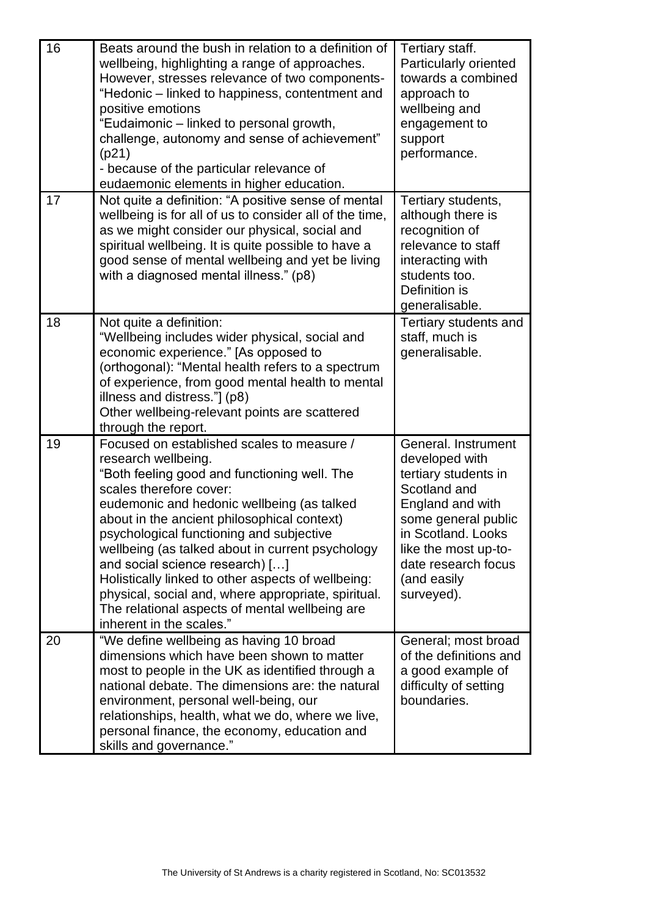| 16 | Beats around the bush in relation to a definition of<br>wellbeing, highlighting a range of approaches.<br>However, stresses relevance of two components-<br>"Hedonic – linked to happiness, contentment and<br>positive emotions<br>"Eudaimonic - linked to personal growth,<br>challenge, autonomy and sense of achievement"<br>(p21)<br>- because of the particular relevance of<br>eudaemonic elements in higher education.                                                                                                                                          | Tertiary staff.<br>Particularly oriented<br>towards a combined<br>approach to<br>wellbeing and<br>engagement to<br>support<br>performance.                                                                                 |
|----|-------------------------------------------------------------------------------------------------------------------------------------------------------------------------------------------------------------------------------------------------------------------------------------------------------------------------------------------------------------------------------------------------------------------------------------------------------------------------------------------------------------------------------------------------------------------------|----------------------------------------------------------------------------------------------------------------------------------------------------------------------------------------------------------------------------|
| 17 | Not quite a definition: "A positive sense of mental<br>wellbeing is for all of us to consider all of the time,<br>as we might consider our physical, social and<br>spiritual wellbeing. It is quite possible to have a<br>good sense of mental wellbeing and yet be living<br>with a diagnosed mental illness." (p8)                                                                                                                                                                                                                                                    | Tertiary students,<br>although there is<br>recognition of<br>relevance to staff<br>interacting with<br>students too.<br>Definition is<br>generalisable.                                                                    |
| 18 | Not quite a definition:<br>"Wellbeing includes wider physical, social and<br>economic experience." [As opposed to<br>(orthogonal): "Mental health refers to a spectrum<br>of experience, from good mental health to mental<br>illness and distress."] (p8)<br>Other wellbeing-relevant points are scattered<br>through the report.                                                                                                                                                                                                                                      | Tertiary students and<br>staff, much is<br>generalisable.                                                                                                                                                                  |
| 19 | Focused on established scales to measure /<br>research wellbeing.<br>"Both feeling good and functioning well. The<br>scales therefore cover:<br>eudemonic and hedonic wellbeing (as talked<br>about in the ancient philosophical context)<br>psychological functioning and subjective<br>wellbeing (as talked about in current psychology<br>and social science research) []<br>Holistically linked to other aspects of wellbeing:<br>physical, social and, where appropriate, spiritual.<br>The relational aspects of mental wellbeing are<br>inherent in the scales." | General. Instrument<br>developed with<br>tertiary students in<br>Scotland and<br>England and with<br>some general public<br>in Scotland. Looks<br>like the most up-to-<br>date research focus<br>(and easily<br>surveyed). |
| 20 | "We define wellbeing as having 10 broad<br>dimensions which have been shown to matter<br>most to people in the UK as identified through a<br>national debate. The dimensions are: the natural<br>environment, personal well-being, our<br>relationships, health, what we do, where we live,<br>personal finance, the economy, education and<br>skills and governance."                                                                                                                                                                                                  | General; most broad<br>of the definitions and<br>a good example of<br>difficulty of setting<br>boundaries.                                                                                                                 |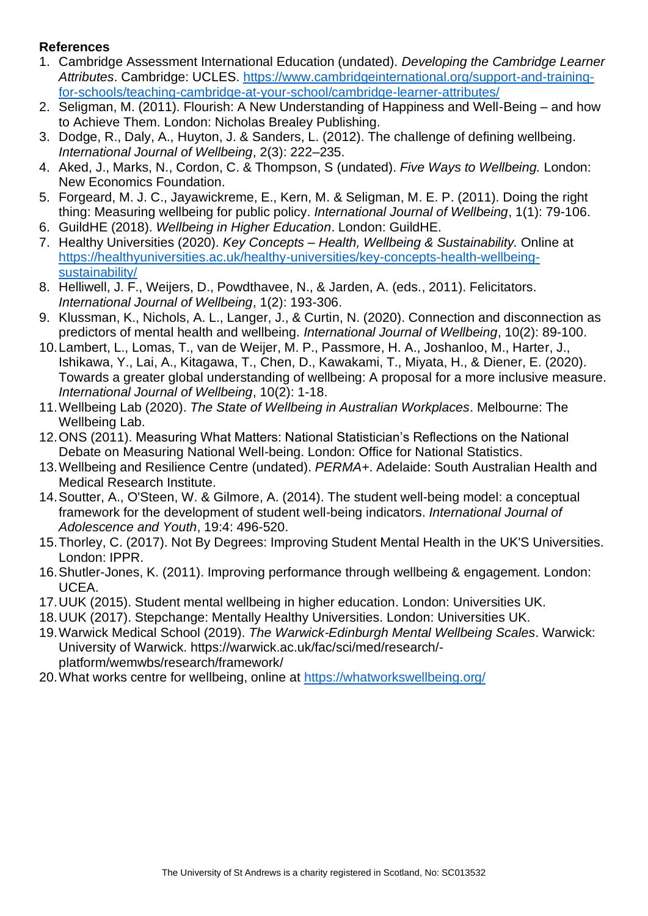## <span id="page-35-0"></span>**References**

- 1. Cambridge Assessment International Education (undated). *Developing the Cambridge Learner Attributes*. Cambridge: UCLES. [https://www.cambridgeinternational.org/support-and-training](https://www.cambridgeinternational.org/support-and-training-for-schools/teaching-cambridge-at-your-school/cambridge-learner-attributes/)[for-schools/teaching-cambridge-at-your-school/cambridge-learner-attributes/](https://www.cambridgeinternational.org/support-and-training-for-schools/teaching-cambridge-at-your-school/cambridge-learner-attributes/)
- 2. Seligman, M. (2011). Flourish: A New Understanding of Happiness and Well-Being and how to Achieve Them. London: Nicholas Brealey Publishing.
- 3. Dodge, R., Daly, A., Huyton, J. & Sanders, L. (2012). The challenge of defining wellbeing. *International Journal of Wellbeing*, 2(3): 222–235.
- 4. Aked, J., Marks, N., Cordon, C. & Thompson, S (undated). *Five Ways to Wellbeing.* London: New Economics Foundation.
- 5. Forgeard, M. J. C., Jayawickreme, E., Kern, M. & Seligman, M. E. P. (2011). Doing the right thing: Measuring wellbeing for public policy. *International Journal of Wellbeing*, 1(1): 79-106.
- 6. GuildHE (2018). *Wellbeing in Higher Education*. London: GuildHE.
- 7. Healthy Universities (2020). *Key Concepts – Health, Wellbeing & Sustainability.* Online at [https://healthyuniversities.ac.uk/healthy-universities/key-concepts-health-wellbeing](https://healthyuniversities.ac.uk/healthy-universities/key-concepts-health-wellbeing-sustainability/)[sustainability/](https://healthyuniversities.ac.uk/healthy-universities/key-concepts-health-wellbeing-sustainability/)
- 8. Helliwell, J. F., Weijers, D., Powdthavee, N., & Jarden, A. (eds., 2011). Felicitators. *International Journal of Wellbeing*, 1(2): 193-306.
- 9. Klussman, K., Nichols, A. L., Langer, J., & Curtin, N. (2020). Connection and disconnection as predictors of mental health and wellbeing. *International Journal of Wellbeing*, 10(2): 89-100.
- 10.Lambert, L., Lomas, T., van de Weijer, M. P., Passmore, H. A., Joshanloo, M., Harter, J., Ishikawa, Y., Lai, A., Kitagawa, T., Chen, D., Kawakami, T., Miyata, H., & Diener, E. (2020). Towards a greater global understanding of wellbeing: A proposal for a more inclusive measure. *International Journal of Wellbeing*, 10(2): 1-18.
- 11.Wellbeing Lab (2020). *The State of Wellbeing in Australian Workplaces*. Melbourne: The Wellbeing Lab.
- 12.ONS (2011). Measuring What Matters: National Statistician's Reflections on the National Debate on Measuring National Well-being. London: Office for National Statistics.
- 13.Wellbeing and Resilience Centre (undated). *PERMA+*. Adelaide: South Australian Health and Medical Research Institute.
- 14.Soutter, A., O'Steen, W. & Gilmore, A. (2014). The student well-being model: a conceptual framework for the development of student well-being indicators. *International Journal of Adolescence and Youth*, 19:4: 496-520.
- 15.Thorley, C. (2017). Not By Degrees: Improving Student Mental Health in the UK'S Universities. London: IPPR.
- 16.Shutler-Jones, K. (2011). Improving performance through wellbeing & engagement. London: UCEA.
- 17.UUK (2015). Student mental wellbeing in higher education. London: Universities UK.
- 18.UUK (2017). Stepchange: Mentally Healthy Universities. London: Universities UK.
- 19.Warwick Medical School (2019). *The Warwick-Edinburgh Mental Wellbeing Scales*. Warwick: University of Warwick. https://warwick.ac.uk/fac/sci/med/research/ platform/wemwbs/research/framework/
- 20.What works centre for wellbeing, online at<https://whatworkswellbeing.org/>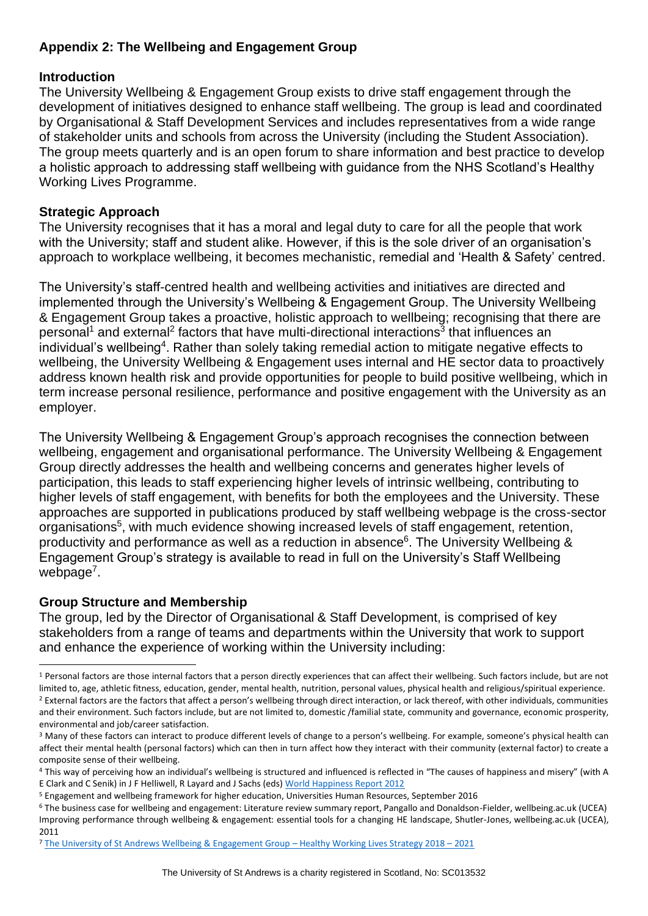## <span id="page-36-0"></span>**Appendix 2: The Wellbeing and Engagement Group**

## **Introduction**

The University Wellbeing & Engagement Group exists to drive staff engagement through the development of initiatives designed to enhance staff wellbeing. The group is lead and coordinated by Organisational & Staff Development Services and includes representatives from a wide range of stakeholder units and schools from across the University (including the Student Association). The group meets quarterly and is an open forum to share information and best practice to develop a holistic approach to addressing staff wellbeing with guidance from the NHS Scotland's Healthy Working Lives Programme.

## **Strategic Approach**

The University recognises that it has a moral and legal duty to care for all the people that work with the University; staff and student alike. However, if this is the sole driver of an organisation's approach to workplace wellbeing, it becomes mechanistic, remedial and 'Health & Safety' centred.

The University's staff-centred health and wellbeing activities and initiatives are directed and implemented through the University's Wellbeing & Engagement Group. The University Wellbeing & Engagement Group takes a proactive, holistic approach to wellbeing; recognising that there are personal<sup>1</sup> and external<sup>2</sup> factors that have multi-directional interactions<sup>3</sup> that influences an individual's wellbeing<sup>4</sup>. Rather than solely taking remedial action to mitigate negative effects to wellbeing, the University Wellbeing & Engagement uses internal and HE sector data to proactively address known health risk and provide opportunities for people to build positive wellbeing, which in term increase personal resilience, performance and positive engagement with the University as an employer.

The University Wellbeing & Engagement Group's approach recognises the connection between wellbeing, engagement and organisational performance. The University Wellbeing & Engagement Group directly addresses the health and wellbeing concerns and generates higher levels of participation, this leads to staff experiencing higher levels of intrinsic wellbeing, contributing to higher levels of staff engagement, with benefits for both the employees and the University. These approaches are supported in publications produced by staff wellbeing webpage is the cross-sector organisations<sup>5</sup>, with much evidence showing increased levels of staff engagement, retention, productivity and performance as well as a reduction in absence<sup>6</sup>. The University Wellbeing & Engagement Group's strategy is available to read in full on the University's Staff Wellbeing webpage<sup>7</sup>.

## **Group Structure and Membership**

The group, led by the Director of Organisational & Staff Development, is comprised of key stakeholders from a range of teams and departments within the University that work to support and enhance the experience of working within the University including:

<sup>&</sup>lt;sup>1</sup> Personal factors are those internal factors that a person directly experiences that can affect their wellbeing. Such factors include, but are not limited to, age, athletic fitness, education, gender, mental health, nutrition, personal values, physical health and religious/spiritual experience. <sup>2</sup> External factors are the factors that affect a person's wellbeing through direct interaction, or lack thereof, with other individuals, communities and their environment. Such factors include, but are not limited to, domestic /familial state, community and governance, economic prosperity, environmental and job/career satisfaction.

<sup>&</sup>lt;sup>3</sup> Many of these factors can interact to produce different levels of change to a person's wellbeing. For example, someone's physical health can affect their mental health (personal factors) which can then in turn affect how they interact with their community (external factor) to create a composite sense of their wellbeing.

<sup>4</sup> This way of perceiving how an individual's wellbeing is structured and influenced is reflected in "The causes of happiness and misery" (with A E Clark and C Senik) in J F Helliwell, R Layard and J Sachs (eds) [World Happiness Report 2012](https://www.earth.columbia.edu/sitefiles/file/Sachs%20Writing/2012/World%20Happiness%20Report.pdf)

<sup>5</sup> Engagement and wellbeing framework for higher education, Universities Human Resources, September 2016

<sup>6</sup> The business case for wellbeing and engagement: Literature review summary report, Pangallo and Donaldson-Fielder, wellbeing.ac.uk (UCEA) Improving performance through wellbeing & engagement: essential tools for a changing HE landscape, Shutler-Jones, wellbeing.ac.uk (UCEA), 2011

<sup>7</sup> [The University of St Andrews Wellbeing & Engagement Group](https://www.st-andrews.ac.uk/media/osds/wellbeing/documents/Wellbeing%20&%20Engagement%20Group%20HWL%20Strategy%202018-21%20-%20signed%2031.01.18.pdf) – Healthy Working Lives Strategy 2018 – 2021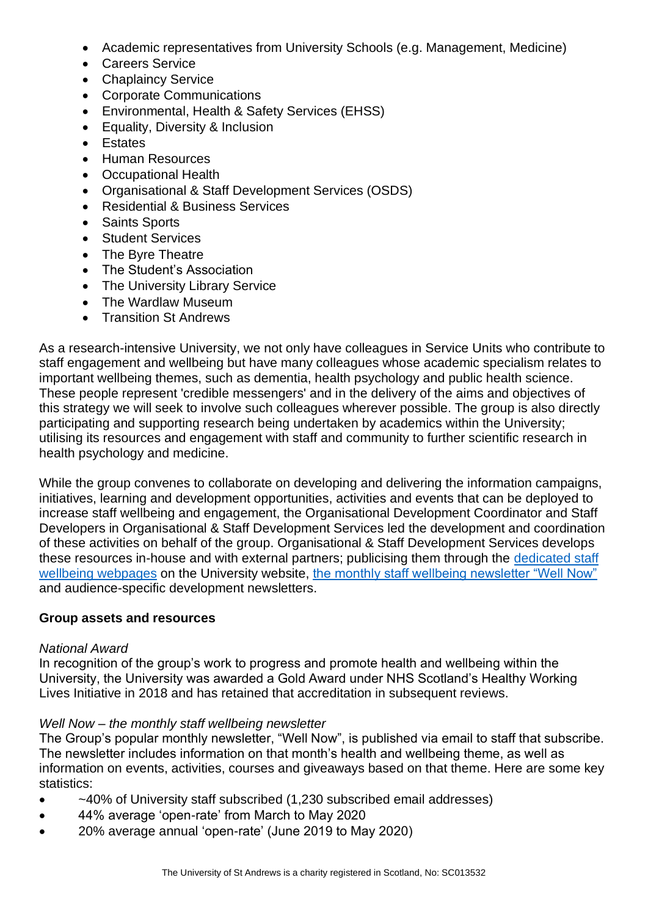- Academic representatives from University Schools (e.g. Management, Medicine)
- Careers Service
- Chaplaincy Service
- Corporate Communications
- Environmental, Health & Safety Services (EHSS)
- Equality, Diversity & Inclusion
- Estates
- Human Resources
- Occupational Health
- Organisational & Staff Development Services (OSDS)
- Residential & Business Services
- Saints Sports
- Student Services
- The Byre Theatre
- The Student's Association
- The University Library Service
- The Wardlaw Museum
- Transition St Andrews

As a research-intensive University, we not only have colleagues in Service Units who contribute to staff engagement and wellbeing but have many colleagues whose academic specialism relates to important wellbeing themes, such as dementia, health psychology and public health science. These people represent 'credible messengers' and in the delivery of the aims and objectives of this strategy we will seek to involve such colleagues wherever possible. The group is also directly participating and supporting research being undertaken by academics within the University; utilising its resources and engagement with staff and community to further scientific research in health psychology and medicine.

While the group convenes to collaborate on developing and delivering the information campaigns, initiatives, learning and development opportunities, activities and events that can be deployed to increase staff wellbeing and engagement, the Organisational Development Coordinator and Staff Developers in Organisational & Staff Development Services led the development and coordination of these activities on behalf of the group. Organisational & Staff Development Services develops these resources in-house and with external partners; publicising them through the [dedicated staff](https://www.st-andrews.ac.uk/staff/wellbeing/)  [wellbeing webpages](https://www.st-andrews.ac.uk/staff/wellbeing/) on the University website, [the monthly staff wellbeing newsletter "Well Now"](https://www.st-andrews.ac.uk/staff/wellbeing/wellnownewsletter/) and audience-specific development newsletters.

#### **Group assets and resources**

#### *National Award*

In recognition of the group's work to progress and promote health and wellbeing within the University, the University was awarded a Gold Award under NHS Scotland's Healthy Working Lives Initiative in 2018 and has retained that accreditation in subsequent reviews.

#### *Well Now – the monthly staff wellbeing newsletter*

The Group's popular monthly newsletter, "Well Now", is published via email to staff that subscribe. The newsletter includes information on that month's health and wellbeing theme, as well as information on events, activities, courses and giveaways based on that theme. Here are some key statistics:

- ~40% of University staff subscribed (1,230 subscribed email addresses)
- 44% average 'open-rate' from March to May 2020
- 20% average annual 'open-rate' (June 2019 to May 2020)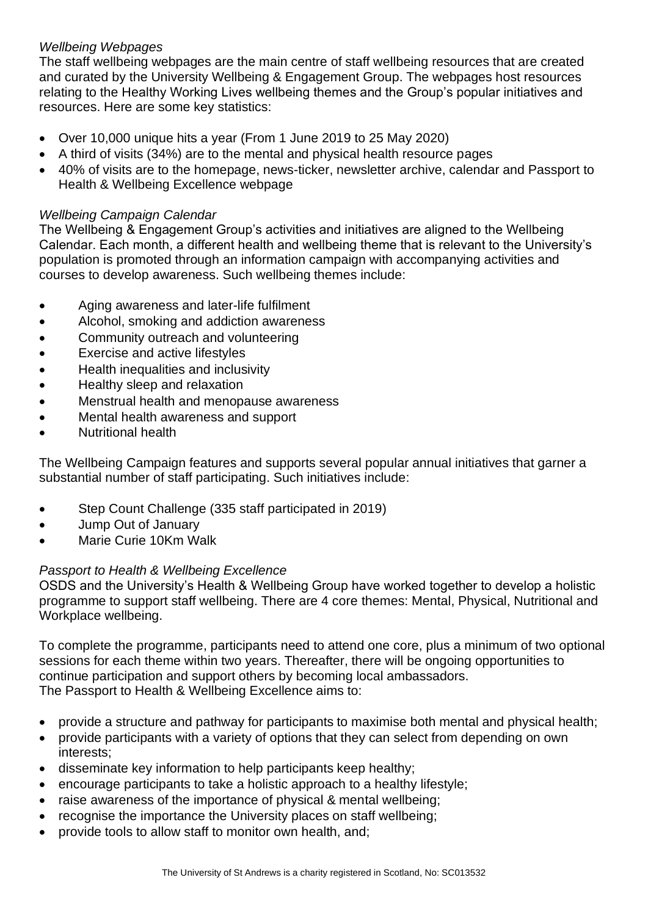## *Wellbeing Webpages*

The staff wellbeing webpages are the main centre of staff wellbeing resources that are created and curated by the University Wellbeing & Engagement Group. The webpages host resources relating to the Healthy Working Lives wellbeing themes and the Group's popular initiatives and resources. Here are some key statistics:

- Over 10,000 unique hits a year (From 1 June 2019 to 25 May 2020)
- A third of visits (34%) are to the mental and physical health resource pages
- 40% of visits are to the homepage, news-ticker, newsletter archive, calendar and Passport to Health & Wellbeing Excellence webpage

# *Wellbeing Campaign Calendar*

The Wellbeing & Engagement Group's activities and initiatives are aligned to the Wellbeing Calendar. Each month, a different health and wellbeing theme that is relevant to the University's population is promoted through an information campaign with accompanying activities and courses to develop awareness. Such wellbeing themes include:

- Aging awareness and later-life fulfilment
- Alcohol, smoking and addiction awareness
- Community outreach and volunteering
- Exercise and active lifestyles
- Health inequalities and inclusivity
- Healthy sleep and relaxation
- Menstrual health and menopause awareness
- Mental health awareness and support
- Nutritional health

The Wellbeing Campaign features and supports several popular annual initiatives that garner a substantial number of staff participating. Such initiatives include:

- Step Count Challenge (335 staff participated in 2019)
- Jump Out of January
- Marie Curie 10Km Walk

## *Passport to Health & Wellbeing Excellence*

OSDS and the University's Health & Wellbeing Group have worked together to develop a holistic programme to support staff wellbeing. There are 4 core themes: Mental, Physical, Nutritional and Workplace wellbeing.

To complete the programme, participants need to attend one core, plus a minimum of two optional sessions for each theme within two years. Thereafter, there will be ongoing opportunities to continue participation and support others by becoming local ambassadors. The Passport to Health & Wellbeing Excellence aims to:

- provide a structure and pathway for participants to maximise both mental and physical health;
- provide participants with a variety of options that they can select from depending on own interests;
- disseminate key information to help participants keep healthy;
- encourage participants to take a holistic approach to a healthy lifestyle;
- raise awareness of the importance of physical & mental wellbeing;
- recognise the importance the University places on staff wellbeing;
- provide tools to allow staff to monitor own health, and;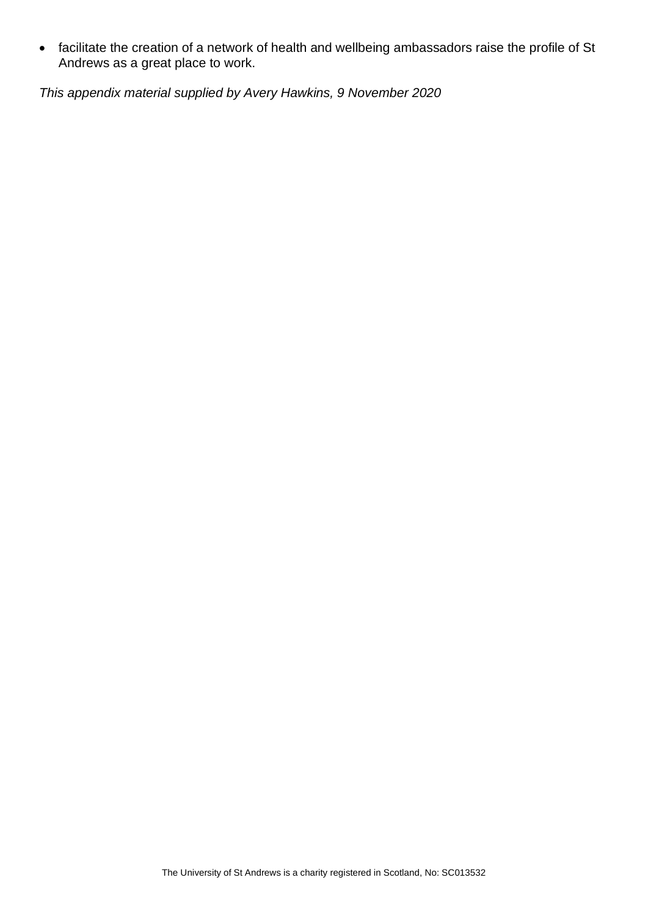• facilitate the creation of a network of health and wellbeing ambassadors raise the profile of St Andrews as a great place to work.

<span id="page-39-0"></span>*This appendix material supplied by Avery Hawkins, 9 November 2020*